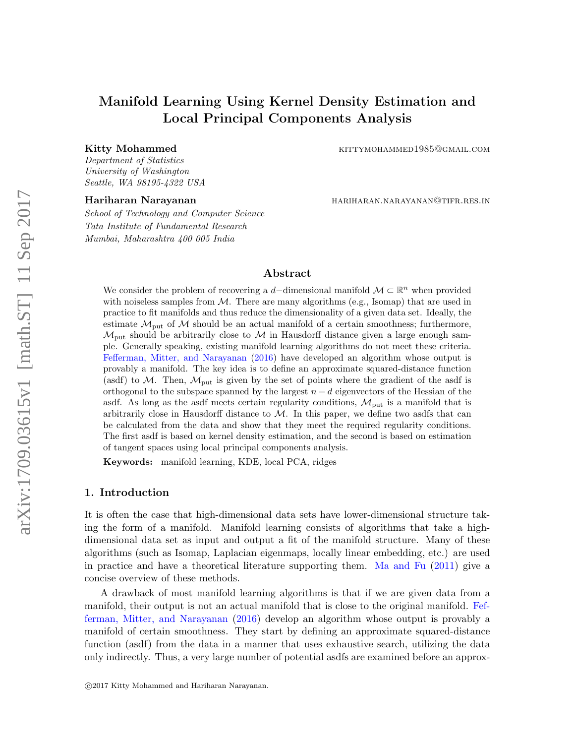# Manifold Learning Using Kernel Density Estimation and Local Principal Components Analysis

Kitty Mohammed **Kittymohammed** KITTYMOHAMMED1985@GMAIL.COM

Department of Statistics University of Washington Seattle, WA 98195-4322 USA

School of Technology and Computer Science Tata Institute of Fundamental Research Mumbai, Maharashtra 400 005 India

Hariharan Narayanan **harikan dan beras di sebagai di sebagai di sebagai di sebagai di sebagai di sebagai di se** 

# Abstract

We consider the problem of recovering a d-dimensional manifold  $\mathcal{M} \subset \mathbb{R}^n$  when provided with noiseless samples from  $\mathcal{M}$ . There are many algorithms (e.g., Isomap) that are used in practice to fit manifolds and thus reduce the dimensionality of a given data set. Ideally, the estimate  $\mathcal{M}_{\text{put}}$  of  $\mathcal{M}$  should be an actual manifold of a certain smoothness; furthermore,  $\mathcal{M}_{\text{put}}$  should be arbitrarily close to  $\mathcal M$  in Hausdorff distance given a large enough sample. Generally speaking, existing manifold learning algorithms do not meet these criteria. [Fefferman, Mitter, and Narayanan](#page-34-0) [\(2016\)](#page-34-0) have developed an algorithm whose output is provably a manifold. The key idea is to define an approximate squared-distance function (asdf) to  $\mathcal{M}$ . Then,  $\mathcal{M}_{\text{put}}$  is given by the set of points where the gradient of the asdf is orthogonal to the subspace spanned by the largest  $n - d$  eigenvectors of the Hessian of the asdf. As long as the asdf meets certain regularity conditions,  $\mathcal{M}_{\text{put}}$  is a manifold that is arbitrarily close in Hausdorff distance to  $M$ . In this paper, we define two asdfs that can be calculated from the data and show that they meet the required regularity conditions. The first asdf is based on kernel density estimation, and the second is based on estimation of tangent spaces using local principal components analysis.

Keywords: manifold learning, KDE, local PCA, ridges

# 1. Introduction

It is often the case that high-dimensional data sets have lower-dimensional structure taking the form of a manifold. Manifold learning consists of algorithms that take a highdimensional data set as input and output a fit of the manifold structure. Many of these algorithms (such as Isomap, Laplacian eigenmaps, locally linear embedding, etc.) are used in practice and have a theoretical literature supporting them. [Ma and Fu](#page-34-1) [\(2011\)](#page-34-1) give a concise overview of these methods.

A drawback of most manifold learning algorithms is that if we are given data from a manifold, their output is not an actual manifold that is close to the original manifold. [Fef](#page-34-0)[ferman, Mitter, and Narayanan](#page-34-0) [\(2016\)](#page-34-0) develop an algorithm whose output is provably a manifold of certain smoothness. They start by defining an approximate squared-distance function (asdf) from the data in a manner that uses exhaustive search, utilizing the data only indirectly. Thus, a very large number of potential asdfs are examined before an approx-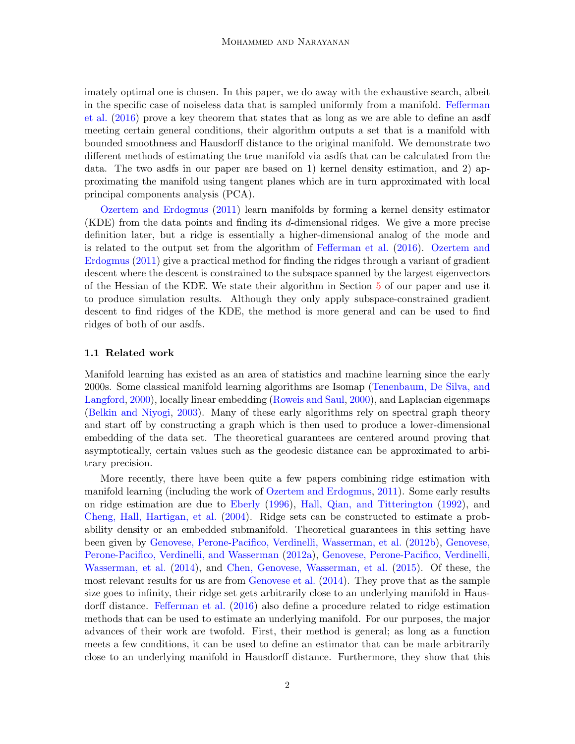imately optimal one is chosen. In this paper, we do away with the exhaustive search, albeit in the specific case of noiseless data that is sampled uniformly from a manifold. [Fefferman](#page-34-0) [et al.](#page-34-0) [\(2016\)](#page-34-0) prove a key theorem that states that as long as we are able to define an asdf meeting certain general conditions, their algorithm outputs a set that is a manifold with bounded smoothness and Hausdorff distance to the original manifold. We demonstrate two different methods of estimating the true manifold via asdfs that can be calculated from the data. The two asdfs in our paper are based on 1) kernel density estimation, and 2) approximating the manifold using tangent planes which are in turn approximated with local principal components analysis (PCA).

[Ozertem and Erdogmus](#page-34-2) [\(2011\)](#page-34-2) learn manifolds by forming a kernel density estimator (KDE) from the data points and finding its d-dimensional ridges. We give a more precise definition later, but a ridge is essentially a higher-dimensional analog of the mode and is related to the output set from the algorithm of [Fefferman et al.](#page-34-0) [\(2016\)](#page-34-0). [Ozertem and](#page-34-2) [Erdogmus](#page-34-2) [\(2011\)](#page-34-2) give a practical method for finding the ridges through a variant of gradient descent where the descent is constrained to the subspace spanned by the largest eigenvectors of the Hessian of the KDE. We state their algorithm in Section [5](#page-31-0) of our paper and use it to produce simulation results. Although they only apply subspace-constrained gradient descent to find ridges of the KDE, the method is more general and can be used to find ridges of both of our asdfs.

#### 1.1 Related work

Manifold learning has existed as an area of statistics and machine learning since the early 2000s. Some classical manifold learning algorithms are Isomap [\(Tenenbaum, De Silva, and](#page-35-0) [Langford,](#page-35-0) [2000\)](#page-35-0), locally linear embedding [\(Roweis and Saul,](#page-34-3) [2000\)](#page-34-3), and Laplacian eigenmaps [\(Belkin and Niyogi,](#page-34-4) [2003\)](#page-34-4). Many of these early algorithms rely on spectral graph theory and start off by constructing a graph which is then used to produce a lower-dimensional embedding of the data set. The theoretical guarantees are centered around proving that asymptotically, certain values such as the geodesic distance can be approximated to arbitrary precision.

More recently, there have been quite a few papers combining ridge estimation with manifold learning (including the work of [Ozertem and Erdogmus,](#page-34-2) [2011\)](#page-34-2). Some early results on ridge estimation are due to [Eberly](#page-34-5) [\(1996\)](#page-34-5), [Hall, Qian, and Titterington](#page-34-6) [\(1992\)](#page-34-6), and [Cheng, Hall, Hartigan, et al.](#page-34-7) [\(2004\)](#page-34-7). Ridge sets can be constructed to estimate a probability density or an embedded submanifold. Theoretical guarantees in this setting have been given by [Genovese, Perone-Pacifico, Verdinelli, Wasserman, et al.](#page-34-8) [\(2012b\)](#page-34-8), [Genovese,](#page-34-9) [Perone-Pacifico, Verdinelli, and Wasserman](#page-34-9) [\(2012a\)](#page-34-9), [Genovese, Perone-Pacifico, Verdinelli,](#page-34-10) [Wasserman, et al.](#page-34-10) [\(2014\)](#page-34-10), and [Chen, Genovese, Wasserman, et al.](#page-34-11) [\(2015\)](#page-34-11). Of these, the most relevant results for us are from [Genovese et al.](#page-34-10) [\(2014\)](#page-34-10). They prove that as the sample size goes to infinity, their ridge set gets arbitrarily close to an underlying manifold in Hausdorff distance. [Fefferman et al.](#page-34-0) [\(2016\)](#page-34-0) also define a procedure related to ridge estimation methods that can be used to estimate an underlying manifold. For our purposes, the major advances of their work are twofold. First, their method is general; as long as a function meets a few conditions, it can be used to define an estimator that can be made arbitrarily close to an underlying manifold in Hausdorff distance. Furthermore, they show that this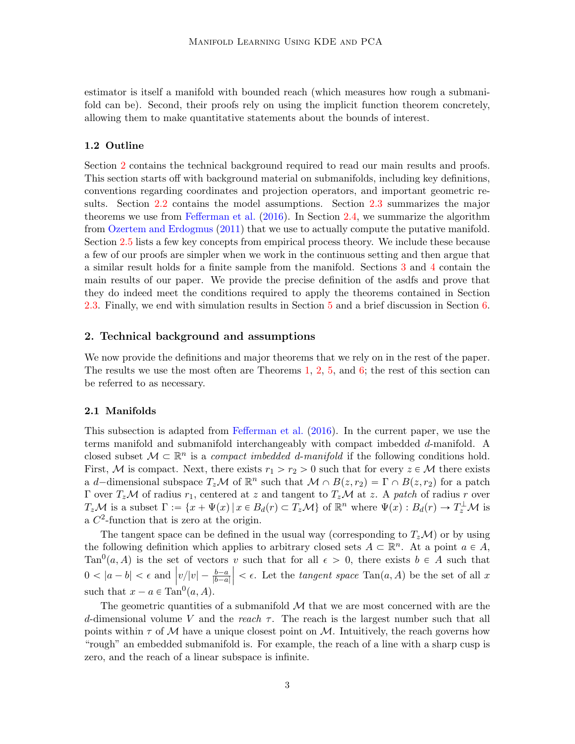estimator is itself a manifold with bounded reach (which measures how rough a submanifold can be). Second, their proofs rely on using the implicit function theorem concretely, allowing them to make quantitative statements about the bounds of interest.

#### 1.2 Outline

Section [2](#page-2-0) contains the technical background required to read our main results and proofs. This section starts off with background material on submanifolds, including key definitions, conventions regarding coordinates and projection operators, and important geometric results. Section [2.2](#page-4-0) contains the model assumptions. Section [2.3](#page-4-1) summarizes the major theorems we use from [Fefferman et al.](#page-34-0) [\(2016\)](#page-34-0). In Section [2.4,](#page-7-0) we summarize the algorithm from [Ozertem and Erdogmus](#page-34-2) [\(2011\)](#page-34-2) that we use to actually compute the putative manifold. Section [2.5](#page-7-1) lists a few key concepts from empirical process theory. We include these because a few of our proofs are simpler when we work in the continuous setting and then argue that a similar result holds for a finite sample from the manifold. Sections [3](#page-8-0) and [4](#page-24-0) contain the main results of our paper. We provide the precise definition of the asdfs and prove that they do indeed meet the conditions required to apply the theorems contained in Section [2.3.](#page-4-1) Finally, we end with simulation results in Section [5](#page-31-0) and a brief discussion in Section [6.](#page-32-0)

# <span id="page-2-0"></span>2. Technical background and assumptions

We now provide the definitions and major theorems that we rely on in the rest of the paper. The results we use the most often are Theorems [1,](#page-3-0) [2,](#page-3-1) [5,](#page-5-0) and [6;](#page-5-1) the rest of this section can be referred to as necessary.

#### 2.1 Manifolds

This subsection is adapted from [Fefferman et al.](#page-34-0) [\(2016\)](#page-34-0). In the current paper, we use the terms manifold and submanifold interchangeably with compact imbedded d-manifold. A closed subset  $\mathcal{M} \subset \mathbb{R}^n$  is a *compact imbedded d-manifold* if the following conditions hold. First, M is compact. Next, there exists  $r_1 > r_2 > 0$  such that for every  $z \in \mathcal{M}$  there exists a d-dimensional subspace  $T_z \mathcal{M}$  of  $\mathbb{R}^n$  such that  $\mathcal{M} \cap B(z, r_2) = \Gamma \cap B(z, r_2)$  for a patch Γ over  $T_z\mathcal{M}$  of radius  $r_1$ , centered at z and tangent to  $T_z\mathcal{M}$  at z. A patch of radius r over  $T_z \mathcal{M}$  is a subset  $\Gamma := \{x + \Psi(x) | x \in B_d(r) \subset T_z \mathcal{M}\}\$  of  $\mathbb{R}^n$  where  $\Psi(x) : B_d(r) \to T_z^{\perp} \mathcal{M}$  is a  $C^2$ -function that is zero at the origin.

The tangent space can be defined in the usual way (corresponding to  $T_z\mathcal{M}$ ) or by using the following definition which applies to arbitrary closed sets  $A \subset \mathbb{R}^n$ . At a point  $a \in A$ , Tan<sup>0</sup>(a, A) is the set of vectors v such that for all  $\epsilon > 0$ , there exists  $b \in A$  such that  $0 < |a - b| < \epsilon$  and  $|v/|v| - \frac{b-a}{|b-a|}$  $|b-a|$  $\vert < \epsilon$ . Let the *tangent space* Tan(*a*, *A*) be the set of all x such that  $x - a \in \text{Tan}^0(a, A)$ .

The geometric quantities of a submanifold  $\mathcal M$  that we are most concerned with are the d-dimensional volume V and the reach  $\tau$ . The reach is the largest number such that all points within  $\tau$  of M have a unique closest point on M. Intuitively, the reach governs how "rough" an embedded submanifold is. For example, the reach of a line with a sharp cusp is zero, and the reach of a linear subspace is infinite.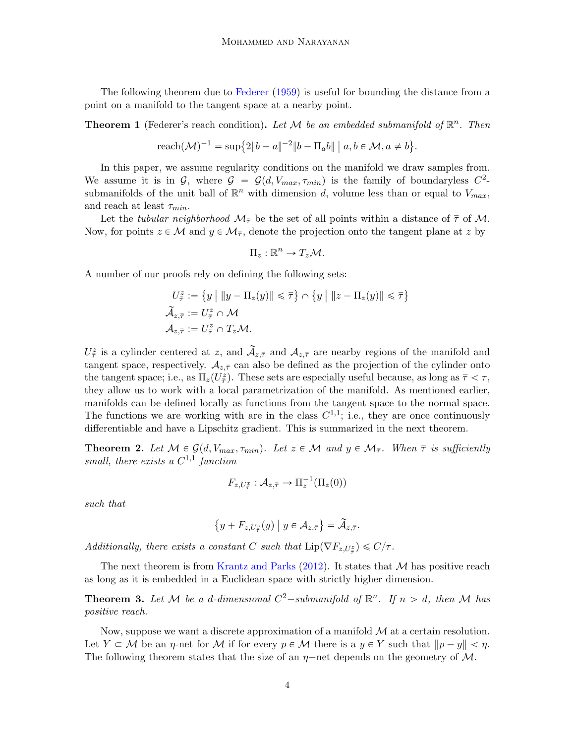The following theorem due to [Federer](#page-34-12) [\(1959\)](#page-34-12) is useful for bounding the distance from a point on a manifold to the tangent space at a nearby point.

<span id="page-3-0"></span>**Theorem 1** (Federer's reach condition). Let M be an embedded submanifold of  $\mathbb{R}^n$ . Then

$$
\text{reach}(\mathcal{M})^{-1} = \sup \{ 2\|b - a\|^{-2} \|b - \Pi_a b\| \mid a, b \in \mathcal{M}, a \neq b \}.
$$

In this paper, we assume regularity conditions on the manifold we draw samples from. We assume it is in G, where  $G = G(d, V_{max}, \tau_{min})$  is the family of boundaryless  $C^2$ submanifolds of the unit ball of  $\mathbb{R}^n$  with dimension d, volume less than or equal to  $V_{max}$ , and reach at least  $\tau_{min}$ .

Let the tubular neighborhood  $\mathcal{M}_{\bar{\tau}}$  be the set of all points within a distance of  $\bar{\tau}$  of M. Now, for points  $z \in \mathcal{M}$  and  $y \in \mathcal{M}_{\bar{\tau}}$ , denote the projection onto the tangent plane at z by

$$
\Pi_z:\mathbb{R}^n\to T_z\mathcal{M}.
$$

A number of our proofs rely on defining the following sets:

$$
U_{\overline{\tau}}^{z} := \{ y \mid ||y - \Pi_z(y)|| \leq \overline{\tau} \} \cap \{ y \mid ||z - \Pi_z(y)|| \leq \overline{\tau} \}
$$
  

$$
\widetilde{\mathcal{A}}_{z,\overline{\tau}} := U_{\overline{\tau}}^{z} \cap \mathcal{M}
$$
  

$$
\mathcal{A}_{z,\overline{\tau}} := U_{\overline{\tau}}^{z} \cap T_z \mathcal{M}.
$$

 $U^z_{\bar{\tau}}$  is a cylinder centered at z, and  $\mathcal{A}_{z,\bar{\tau}}$  and  $\mathcal{A}_{z,\bar{\tau}}$  are nearby regions of the manifold and tangent space, respectively.  $A_{z,\bar{\tau}}$  can also be defined as the projection of the cylinder onto the tangent space; i.e., as  $\Pi_z(U^{\tilde{z}}_{{\tilde{\tau}}})$ . These sets are especially useful because, as long as  ${\tilde{\tau}} < \tau$ , they allow us to work with a local parametrization of the manifold. As mentioned earlier, manifolds can be defined locally as functions from the tangent space to the normal space. The functions we are working with are in the class  $C^{1,1}$ ; i.e., they are once continuously differentiable and have a Lipschitz gradient. This is summarized in the next theorem.

<span id="page-3-1"></span>**Theorem 2.** Let  $M \in \mathcal{G}(d, V_{max}, \tau_{min})$ . Let  $z \in \mathcal{M}$  and  $y \in \mathcal{M}_{\bar{\tau}}$ . When  $\bar{\tau}$  is sufficiently small, there exists a  $C^{1,1}$  function

$$
F_{z,U_{\overline{\tau}}^x}: \mathcal{A}_{z,\overline{\tau}} \to \Pi_z^{-1}(\Pi_z(0))
$$

such that

$$
\{y + F_{z,U_{\tilde{\tau}}} (y) \mid y \in A_{z,\overline{\tau}} \} = \widetilde{A}_{z,\overline{\tau}}.
$$

Additionally, there exists a constant C such that  $\text{Lip}(\nabla F_{z,U_{\tau}^z}) \leq C/\tau$ .

The next theorem is from [Krantz and Parks](#page-34-13)  $(2012)$ . It states that M has positive reach as long as it is embedded in a Euclidean space with strictly higher dimension.

**Theorem 3.** Let M be a d-dimensional  $C^2$ -submanifold of  $\mathbb{R}^n$ . If  $n > d$ , then M has positive reach.

Now, suppose we want a discrete approximation of a manifold  $\mathcal M$  at a certain resolution. Let  $Y \subset \mathcal{M}$  be an  $\eta$ -net for  $\mathcal M$  if for every  $p \in \mathcal M$  there is a  $y \in Y$  such that  $\|p - y\| < \eta$ . The following theorem states that the size of an  $\eta$ -net depends on the geometry of M.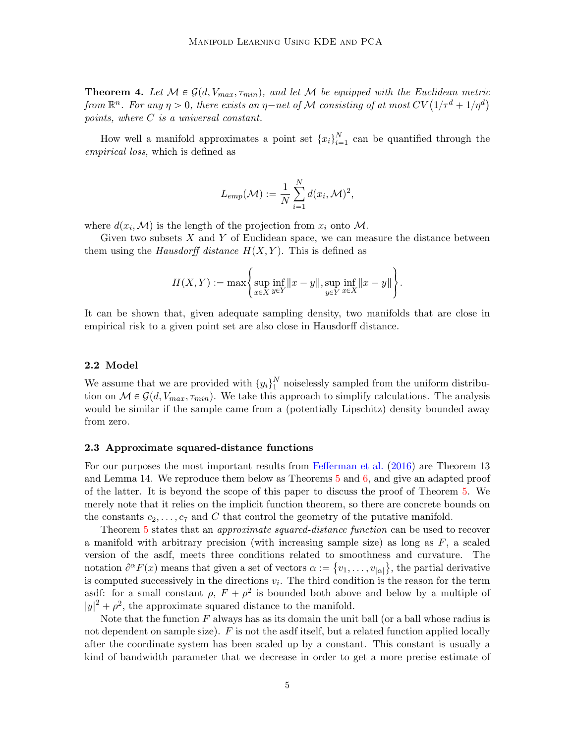<span id="page-4-2"></span>**Theorem 4.** Let  $M \in \mathcal{G}(d, V_{max}, \tau_{min})$ , and let M be equipped with the Euclidean metric **Theorem 4.** Let  $M \in \mathcal{G}(d, V_{max}, \tau_{min})$ , and let  $M$  be equipped with the Euclidean metrition from  $\mathbb{R}^n$ . For any  $\eta > 0$ , there exists an  $\eta$ —net of  $M$  consisting of at most  $CV(1/\tau^d + 1/\eta^d)$ points, where C is a universal constant.

How well a manifold approximates a point set  $\{x_i\}_{i=1}^N$  $\sum_{i=1}^{N}$  can be quantified through the empirical loss, which is defined as

$$
L_{emp}(\mathcal{M}) := \frac{1}{N} \sum_{i=1}^{N} d(x_i, \mathcal{M})^2,
$$

where  $d(x_i, \mathcal{M})$  is the length of the projection from  $x_i$  onto  $\mathcal{M}$ .

Given two subsets  $X$  and  $Y$  of Euclidean space, we can measure the distance between them using the *Hausdorff distance*  $H(X, Y)$ . This is defined as

$$
H(X,Y) := \max \Biggl\{ \sup_{x \in X} \inf_{y \in Y} ||x - y||, \sup_{y \in Y} \inf_{x \in X} ||x - y|| \Biggr\}.
$$

It can be shown that, given adequate sampling density, two manifolds that are close in empirical risk to a given point set are also close in Hausdorff distance.

#### <span id="page-4-0"></span>2.2 Model

We assume that we are provided with  ${y_i}_1^N$  $\frac{1}{1}$  noiselessly sampled from the uniform distribution on  $\mathcal{M} \in \mathcal{G}(d, V_{max}, \tau_{min})$ . We take this approach to simplify calculations. The analysis would be similar if the sample came from a (potentially Lipschitz) density bounded away from zero.

#### <span id="page-4-1"></span>2.3 Approximate squared-distance functions

For our purposes the most important results from [Fefferman et al.](#page-34-0) [\(2016\)](#page-34-0) are Theorem 13 and Lemma 14. We reproduce them below as Theorems [5](#page-5-0) and [6,](#page-5-1) and give an adapted proof of the latter. It is beyond the scope of this paper to discuss the proof of Theorem [5.](#page-5-0) We merely note that it relies on the implicit function theorem, so there are concrete bounds on the constants  $c_2, \ldots, c_7$  and C that control the geometry of the putative manifold.

Theorem [5](#page-5-0) states that an *approximate squared-distance function* can be used to recover a manifold with arbitrary precision (with increasing sample size) as long as  $F$ , a scaled version of the asdf, meets three conditions related to smoothness and curvature. The ( notation  $\partial^{\alpha} F(x)$  means that given a set of vectors  $\alpha := \{v_1, \ldots, v_{|\alpha|}\}\$ , the partial derivative is computed successively in the directions  $v_i$ . The third condition is the reason for the term asdf: for a small constant  $\rho$ ,  $F + \rho^2$  is bounded both above and below by a multiple of  $|y|^2 + \rho^2$ , the approximate squared distance to the manifold.

Note that the function  $F$  always has as its domain the unit ball (or a ball whose radius is not dependent on sample size).  $F$  is not the asdf itself, but a related function applied locally after the coordinate system has been scaled up by a constant. This constant is usually a kind of bandwidth parameter that we decrease in order to get a more precise estimate of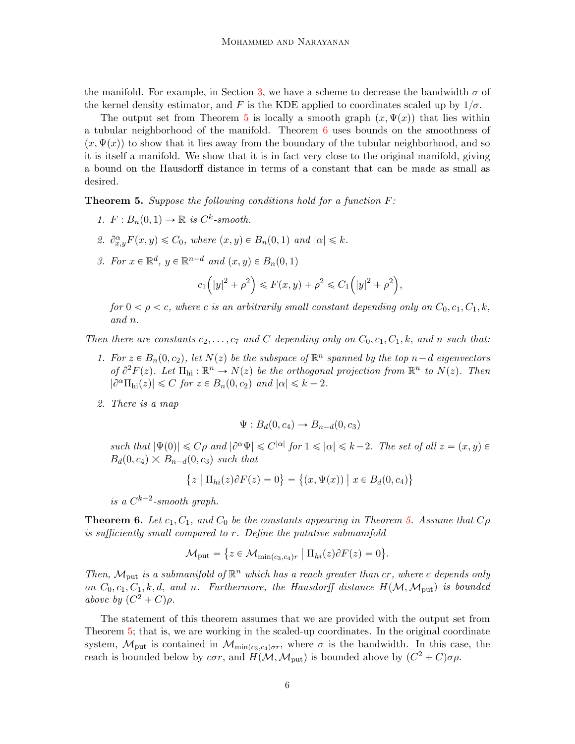the manifold. For example, in Section [3,](#page-8-0) we have a scheme to decrease the bandwidth  $\sigma$  of the kernel density estimator, and F is the KDE applied to coordinates scaled up by  $1/\sigma$ .

The output set from Theorem [5](#page-5-0) is locally a smooth graph  $(x, \Psi(x))$  that lies within a tubular neighborhood of the manifold. Theorem [6](#page-5-1) uses bounds on the smoothness of  $(x, \Psi(x))$  to show that it lies away from the boundary of the tubular neighborhood, and so it is itself a manifold. We show that it is in fact very close to the original manifold, giving a bound on the Hausdorff distance in terms of a constant that can be made as small as desired.

<span id="page-5-0"></span>**Theorem 5.** Suppose the following conditions hold for a function  $F$ :

- 1.  $F: B_n(0,1) \to \mathbb{R}$  is  $C^k$ -smooth.
- 2.  $\partial_{x,y}^{\alpha}F(x,y)\leq C_0$ , where  $(x,y)\in B_n(0,1)$  and  $|\alpha|\leq k$ .
- 3. For  $x \in \mathbb{R}^d$ ,  $y \in \mathbb{R}^{n-d}$  and  $(x, y) \in B_n(0, 1)$

$$
c_1(|y|^2 + \rho^2) \le F(x, y) + \rho^2 \le C_1(|y|^2 + \rho^2),
$$

for  $0 < \rho < c$ , where c is an arbitrarily small constant depending only on  $C_0, c_1, C_1, k$ , and n.

Then there are constants  $c_2, \ldots, c_7$  and C depending only on  $C_0, c_1, C_1, k$ , and n such that:

- 1. For  $z \in B_n(0, c_2)$ , let  $N(z)$  be the subspace of  $\mathbb{R}^n$  spanned by the top  $n-d$  eigenvectors of  $\partial^2 F(z)$ . Let  $\Pi_{\text{hi}} : \mathbb{R}^n \to N(z)$  be the orthogonal projection from  $\mathbb{R}^n$  to  $N(z)$ . Then  $|\partial^{\alpha} \Pi_{hi}(z)| \leq C$  for  $z \in B_n(0, c_2)$  and  $|\alpha| \leq k - 2$ .
- 2. There is a map

$$
\Psi: B_d(0, c_4) \to B_{n-d}(0, c_3)
$$

such that  $|\Psi(0)| \leqslant C\rho$  and  $|\partial^{\alpha}\Psi| \leqslant C^{|\alpha|}$  for  $1 \leqslant |\alpha| \leqslant k-2$ . The set of all  $z = (x, y) \in$ such that  $|\Psi(0)| \leq C\rho$  and  $|c^{\alpha}\Psi|$ <br> $B_d(0, c_4) \times B_{n-d}(0, c_3)$  such that (  $\mathbf{r}$ 

$$
\{z \mid \Pi_{hi}(z)\partial F(z) = 0\} = \{(x, \Psi(x)) \mid x \in B_d(0, c_4)\}
$$

(

is a  $C^{k-2}$ -smooth graph.

<span id="page-5-1"></span>**Theorem 6.** Let  $c_1, C_1$ , and  $C_0$  be the constants appearing in Theorem [5.](#page-5-0) Assume that  $C\rho$ is sufficiently small compared to r. Define the putative submanifold

$$
\mathcal{M}_{\text{put}} = \{ z \in \mathcal{M}_{\min(c_3, c_4)r} \mid \Pi_{hi}(z) \partial F(z) = 0 \}.
$$

Then,  $\mathcal{M}_{\text{put}}$  is a submanifold of  $\mathbb{R}^n$  which has a reach greater than cr, where c depends only on  $C_0, c_1, C_1, k, d$ , and n. Furthermore, the Hausdorff distance  $H(\mathcal{M},\mathcal{M}_{\text{put}})$  is bounded above by  $(C^2 + C)\rho$ .

The statement of this theorem assumes that we are provided with the output set from Theorem [5;](#page-5-0) that is, we are working in the scaled-up coordinates. In the original coordinate system,  $\mathcal{M}_{\text{put}}$  is contained in  $\mathcal{M}_{\text{min}(c_3,c_4)\sigma r}$ , where  $\sigma$  is the bandwidth. In this case, the reach is bounded below by  $c\sigma r$ , and  $H(\mathcal{M},\mathcal{M}_{\text{put}})$  is bounded above by  $(C^2 + C)\sigma\rho$ .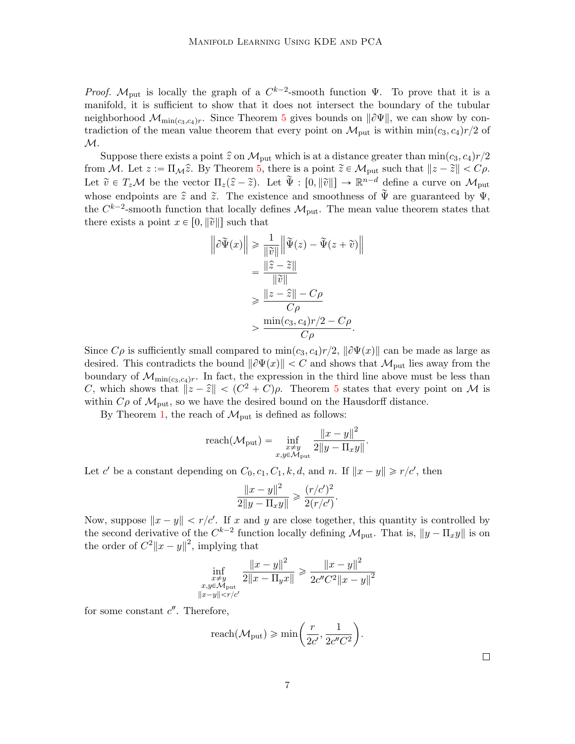*Proof.*  $M_{\text{put}}$  is locally the graph of a  $C^{k-2}$ -smooth function  $\Psi$ . To prove that it is a manifold, it is sufficient to show that it does not intersect the boundary of the tubular neighborhood  $\mathcal{M}_{\min(c_3,c_4)r}$ . Since Theorem [5](#page-5-0) gives bounds on  $\|\partial\Psi\|$ , we can show by contradiction of the mean value theorem that every point on  $\mathcal{M}_{\text{put}}$  is within min $(c_3, c_4)r/2$  of  $\mathcal{M}.$ 

Suppose there exists a point  $\hat{z}$  on  $\mathcal{M}_{\text{put}}$  which is at a distance greater than min $(c_3, c_4)r/2$ from M. Let  $z := \Pi_{\mathcal{M}}\hat{z}$ . By Theorem [5,](#page-5-0) there is a point  $\tilde{z} \in \mathcal{M}_{\text{put}}$  such that  $||z - \tilde{z}|| < C\rho$ . Let  $\tilde{v} \in T_z\mathcal{M}$  be the vector  $\Pi_z(\hat{z}-\tilde{z})$ . Let  $\tilde{\Psi} : [0, \|\tilde{v}\|] \to \mathbb{R}^{n-d}$  define a curve on  $\mathcal{M}_{\text{put}}$ whose endpoints are  $\hat{z}$  and  $\tilde{z}$ . The existence and smoothness of  $\tilde{\Psi}$  are guaranteed by  $\Psi$ , the  $C^{k-2}$ -smooth function that locally defines  $\mathcal{M}_{\text{put}}$ . The mean value theorem states that there exists a point  $x \in [0, ||\tilde{v}||]$  such that

$$
\left\|\partial \tilde{\Psi}(x)\right\| \ge \frac{1}{\|\tilde{v}\|} \left\|\tilde{\Psi}(z) - \tilde{\Psi}(z + \tilde{v})\right\|
$$
  

$$
= \frac{\|\tilde{z} - \tilde{z}\|}{\|\tilde{v}\|}
$$
  

$$
\ge \frac{\|z - \hat{z}\| - C\rho}{C\rho}
$$
  

$$
> \frac{\min(c_3, c_4)r/2 - C\rho}{C\rho}.
$$

Since  $C\rho$  is sufficiently small compared to  $\min(c_3, c_4)r/2$ ,  $\|\partial \Psi(x)\|$  can be made as large as desired. This contradicts the bound  $\|\partial \Psi(x)\| < C$  and shows that  $\mathcal{M}_{\text{put}}$  lies away from the boundary of  $\mathcal{M}_{\min(c_3,c_4)r}$ . In fact, the expression in the third line above must be less than C, which shows that  $||z - \hat{z}|| < (C^2 + C)\rho$ . Theorem [5](#page-5-0) states that every point on M is within  $C\rho$  of  $\mathcal{M}_{\text{put}}$ , so we have the desired bound on the Hausdorff distance.

By Theorem [1,](#page-3-0) the reach of  $\mathcal{M}_{\text{put}}$  is defined as follows:

$$
\text{reach}(\mathcal{M}_{\text{put}}) = \inf_{\substack{x \neq y \\ x, y \in \mathcal{M}_{\text{put}}}} \frac{\|x - y\|^2}{2\|y - \Pi_x y\|}.
$$

Let c' be a constant depending on  $C_0$ ,  $c_1$ ,  $C_1$ ,  $k$ ,  $d$ , and n. If  $||x - y|| \ge r/c'$ , then

$$
\frac{\|x-y\|^2}{2\|y-\Pi_xy\|} \geq \frac{(r/c')^2}{2(r/c')}.
$$

Now, suppose  $||x - y|| < r/c'$ . If x and y are close together, this quantity is controlled by the second derivative of the  $C^{k-2}$  function locally defining  $\mathcal{M}_{\text{put}}$ . That is,  $||y - \Pi_x y||$  is on the order of  $C^2 ||x - y||^2$ , implying that

$$
\inf_{\substack{x \neq y \\ x, y \in \mathcal{M}_{\text{put}}}} \frac{\|x - y\|^2}{2\|x - \Pi_y x\|} \ge \frac{\|x - y\|^2}{2c''C^2\|x - y\|^2}
$$

for some constant  $c''$ . Therefore,

$$
\text{reach}(\mathcal{M}_{\text{put}}) \geqslant \min\left(\frac{r}{2c'}, \frac{1}{2c''C^2}\right).
$$

 $\Box$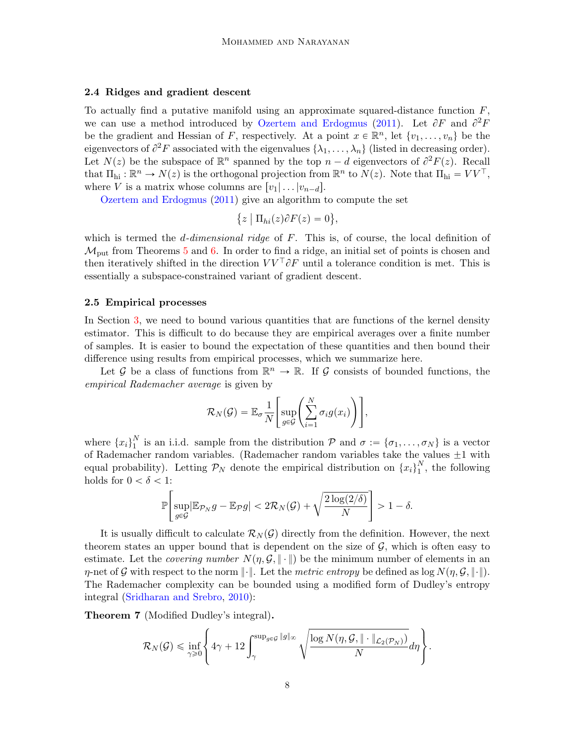### <span id="page-7-0"></span>2.4 Ridges and gradient descent

To actually find a putative manifold using an approximate squared-distance function  $F$ , we can use a method introduced by [Ozertem and Erdogmus](#page-34-2) [\(2011\)](#page-34-2). Let  $\partial F$  and  $\partial^2 F$ be the gradient and Hessian of F, respectively. At a point  $x \in \mathbb{R}^n$ , let  $\{v_1, \ldots, v_n\}$  be the eigenvectors of  $\partial^2 F$  associated with the eigenvalues  $\{\lambda_1, \ldots, \lambda_n\}$  (listed in decreasing order). Let  $N(z)$  be the subspace of  $\mathbb{R}^n$  spanned by the top  $n - d$  eigenvectors of  $\partial^2 F(z)$ . Recall that  $\Pi_{hi}: \mathbb{R}^n \to N(z)$  is the orthogonal projection from  $\mathbb{R}^n$  to  $N(z)$ . Note that  $\Pi_{hi} = V V^{\top}$ , where V is a matrix whose columns are  $[v_1| \dots | v_{n-d}].$ 

[Ozertem and Erdogmus](#page-34-2) [\(2011\)](#page-34-2) give an algorithm to compute the set r.

$$
\{z \mid \Pi_{hi}(z)\partial F(z) = 0\},\
$$

which is termed the  $d$ -dimensional ridge of  $F$ . This is, of course, the local definition of  $\mathcal{M}_{\text{put}}$  from Theorems [5](#page-5-0) and [6.](#page-5-1) In order to find a ridge, an initial set of points is chosen and then iteratively shifted in the direction  $VV^{\top} \partial F$  until a tolerance condition is met. This is essentially a subspace-constrained variant of gradient descent.

#### <span id="page-7-1"></span>2.5 Empirical processes

In Section [3,](#page-8-0) we need to bound various quantities that are functions of the kernel density estimator. This is difficult to do because they are empirical averages over a finite number of samples. It is easier to bound the expectation of these quantities and then bound their difference using results from empirical processes, which we summarize here.

Let G be a class of functions from  $\mathbb{R}^n \to \mathbb{R}$ . If G consists of bounded functions, the empirical Rademacher average is given by «  $\frac{1}{2}$ 

$$
\mathcal{R}_N(\mathcal{G}) = \mathbb{E}_{\sigma} \frac{1}{N} \Bigg[ \sup_{g \in \mathcal{G}} \Bigg( \sum_{i=1}^N \sigma_i g(x_i) \Bigg) \Bigg],
$$

where  ${x_i}_1^N$  $\sigma_1^N$  is an i.i.d. sample from the distribution  $P$  and  $\sigma := {\sigma_1, \ldots, \sigma_N}$  is a vector of Rademacher random variables. (Rademacher random variables take the values  $\pm 1$  with equal probability). Letting  $\mathcal{P}_N$  denote the empirical distribution on  $\{x_i\}_1^N$  $_1^N$ , the following holds for  $0 < \delta < 1$ : for the control of the control of the control of the control of the control of the control of the control of the control of the control of the control of the control of the control of the control of the control of the cont

$$
\mathbb{P}\left[\sup_{g\in\mathcal{G}}|\mathbb{E}_{\mathcal{P}_N}g-\mathbb{E}_{\mathcal{P}}g|<2\mathcal{R}_N(\mathcal{G})+\sqrt{\frac{2\log(2/\delta)}{N}}\right] >1-\delta.
$$

It is usually difficult to calculate  $\mathcal{R}_{N}(\mathcal{G})$  directly from the definition. However, the next theorem states an upper bound that is dependent on the size of  $\mathcal{G}$ , which is often easy to estimate. Let the *covering number*  $N(\eta, \mathcal{G}, \|\cdot\|)$  be the minimum number of elements in an  $\eta$ -net of G with respect to the norm  $\|\cdot\|$ . Let the metric entropy be defined as  $\log N(\eta, \mathcal{G}, \|\cdot\|)$ . The Rademacher complexity can be bounded using a modified form of Dudley's entropy integral [\(Sridharan and Srebro,](#page-35-1) [2010\)](#page-35-1):

<span id="page-7-2"></span>Theorem 7 (Modified Dudley's integral).

$$
\mathcal{R}_N(\mathcal{G}) \leq \inf_{\gamma \geq 0} \left\{ 4\gamma + 12 \int_{\gamma}^{\sup_{g \in \mathcal{G}} \|g\|_{\infty}} \sqrt{\frac{\log N(\eta, \mathcal{G}, \| \cdot \|_{\mathcal{L}_2(\mathcal{P}_N)})}{N}} d\eta \right\}
$$

.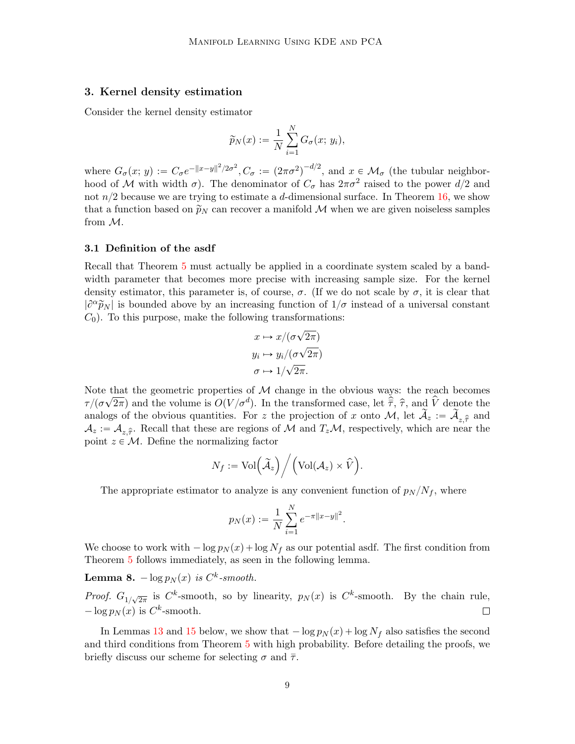# <span id="page-8-0"></span>3. Kernel density estimation

Consider the kernel density estimator

$$
\widetilde{p}_N(x) := \frac{1}{N} \sum_{i=1}^N G_{\sigma}(x; y_i),
$$

where  $G_{\sigma}(x; y) := C_{\sigma}e^{-\|x-y\|^2/2\sigma^2}$ ,  $C_{\sigma} := (2\pi\sigma^2)^{-d/2}$ , and  $x \in \mathcal{M}_{\sigma}$  (the tubular neighborhood of M with width  $\sigma$ ). The denominator of  $C_{\sigma}$  has  $2\pi\sigma^2$  raised to the power  $d/2$  and not  $n/2$  because we are trying to estimate a d-dimensional surface. In Theorem [16,](#page-23-0) we show that a function based on  $\widetilde{p}_N$  can recover a manifold M when we are given noiseless samples from M.

### 3.1 Definition of the asdf

Recall that Theorem [5](#page-5-0) must actually be applied in a coordinate system scaled by a bandwidth parameter that becomes more precise with increasing sample size. For the kernel density estimator, this parameter is, of course,  $\sigma$ . (If we do not scale by  $\sigma$ , it is clear that  $|\partial^{\alpha}\tilde{p}_N|$  is bounded above by an increasing function of  $1/\sigma$  instead of a universal constant  $C_0$ ). To this purpose, make the following transformations:

$$
x \mapsto x/(\sigma\sqrt{2\pi})
$$
  

$$
y_i \mapsto y_i/(\sigma\sqrt{2\pi})
$$
  

$$
\sigma \mapsto 1/\sqrt{2\pi}.
$$

Note that the geometric properties of  $M$  change in the obvious ways: the reach becomes  $\tau/(\sigma$  $^{\circ}$  .  $\frac{2\pi}{2\pi}$  and the volume is  $O(V/{\sigma}^d)$ . In the transformed case, let  $\hat{\overline{\tau}}$ ,  $\hat{\tau}$ , and  $\hat{V}$  denote the analogs of the obvious quantities. For z the projection of x onto M, let  $\widetilde{A}_z := \widetilde{A}_{z,\widehat{\tau}}$  and  $\mathcal{A}_z := \mathcal{A}_{z,\hat{\tau}}$ . Recall that these are regions of M and  $T_z\mathcal{M}$ , respectively, which are near the point  $z \in \mathcal{M}$ . Define the normalizing factor **.**<br>. / .

$$
N_f:={\rm Vol}\Big(\widetilde{\cal A}_z\Big)\bigg/\Big({\rm Vol}({\cal A}_z)\times\widehat V\Big).
$$

The appropriate estimator to analyze is any convenient function of  $p_N / N_f$ , where

$$
p_N(x) := \frac{1}{N} \sum_{i=1}^N e^{-\pi ||x-y||^2}.
$$

We choose to work with  $-\log p_N(x) + \log N_f$  as our potential asdf. The first condition from Theorem [5](#page-5-0) follows immediately, as seen in the following lemma.

<span id="page-8-1"></span>**Lemma 8.**  $-\log p_N(x)$  is  $C^k$ -smooth.

*Proof.*  $G_{1/\sqrt{2\pi}}$  is  $C^k$ -smooth, so by linearity,  $p_N(x)$  is  $C^k$ -smooth. By the chain rule,  $-\log p_N(x)$  is  $C^k$ -smooth.  $\Box$ 

In Lemmas [13](#page-17-0) and [15](#page-22-0) below, we show that  $-\log p_N(x) + \log N_f$  also satisfies the second and third conditions from Theorem [5](#page-5-0) with high probability. Before detailing the proofs, we briefly discuss our scheme for selecting  $\sigma$  and  $\bar{\tau}$ .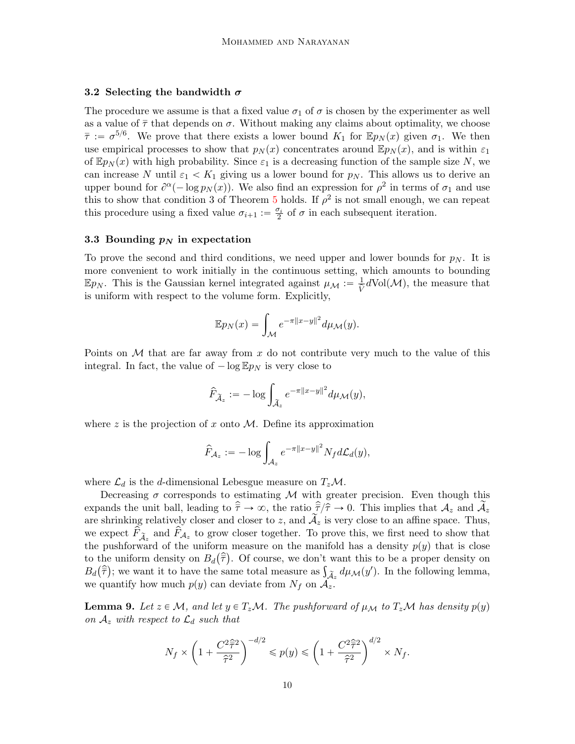### 3.2 Selecting the bandwidth  $\sigma$

The procedure we assume is that a fixed value  $\sigma_1$  of  $\sigma$  is chosen by the experimenter as well as a value of  $\bar{\tau}$  that depends on  $\sigma$ . Without making any claims about optimality, we choose  $\bar{\tau} := \sigma^{5/6}$ . We prove that there exists a lower bound  $K_1$  for  $\mathbb{E} p_N(x)$  given  $\sigma_1$ . We then use empirical processes to show that  $p_N(x)$  concentrates around  $\mathbb{E}p_N(x)$ , and is within  $\varepsilon_1$ of  $\mathbb{E}p_N(x)$  with high probability. Since  $\varepsilon_1$  is a decreasing function of the sample size N, we can increase N until  $\varepsilon_1 < K_1$  giving us a lower bound for  $p_N$ . This allows us to derive an upper bound for  $\partial^{\alpha}(-\log p_N(x))$ . We also find an expression for  $\rho^2$  in terms of  $\sigma_1$  and use this to show that condition 3 of Theorem [5](#page-5-0) holds. If  $\rho^2$  is not small enough, we can repeat this procedure using a fixed value  $\sigma_{i+1} := \frac{\sigma_i}{2}$  of  $\sigma$  in each subsequent iteration.

#### <span id="page-9-1"></span>3.3 Bounding  $p_N$  in expectation

To prove the second and third conditions, we need upper and lower bounds for  $p_N$ . It is more convenient to work initially in the continuous setting, which amounts to bounding  $\mathbb{E}p_N$ . This is the Gaussian kernel integrated against  $\mu_{\mathcal{M}} := \frac{1}{\hat{V}} d\text{Vol}(\mathcal{M})$ , the measure that is uniform with respect to the volume form. Explicitly,

$$
\mathbb{E}p_N(x) = \int_{\mathcal{M}} e^{-\pi ||x-y||^2} d\mu_{\mathcal{M}}(y).
$$

Points on M that are far away from x do not contribute very much to the value of this integral. In fact, the value of  $-\log \mathbb{E} p_N$  is very close to

$$
\widehat{F}_{\widetilde{\mathcal{A}}_z} := -\log \int_{\widetilde{\mathcal{A}}_z} e^{-\pi ||x-y||^2} d\mu_{\mathcal{M}}(y),
$$

where z is the projection of x onto  $M$ . Define its approximation

$$
\widehat{F}_{\mathcal{A}_z} := -\log \int_{\mathcal{A}_z} e^{-\pi ||x-y||^2} N_f d\mathcal{L}_d(y),
$$

where  $\mathcal{L}_d$  is the d-dimensional Lebesgue measure on  $T_z \mathcal{M}$ .

Decreasing  $\sigma$  corresponds to estimating M with greater precision. Even though this expands the unit ball, leading to  $\hat{\tau} \to \infty$ , the ratio  $\hat{\tau}/\hat{\tau} \to 0$ . This implies that  $\mathcal{A}_z$  and  $\mathcal{A}_z$ are shrinking relatively closer and closer to z, and  $A_z$  is very close to an affine space. Thus, we expect  $\hat{F}_{\tilde{A}_z}$  and  $\hat{F}_{A_z}$  to grow closer together. To prove this, we first need to show that the pushforward of the uniform measure on the manifold has a density  $p(y)$  that is close to the uniform density on  $B_d(\hat{\bar{\tau}})$ . Of course, we don't want this to be a proper density on to the uniform density on  $B_d(\overline{\tau})$ . Of course, we don't want this to be a proper density on  $B_d(\hat{\overline{\tau}})$ ; we want it to have the same total measure as  $\int_{\widetilde{\mathcal{A}}_z} d\mu_{\mathcal{M}}(y')$ . In the following lemma, we quantify how much  $p(y)$  can deviate from  $N_f$  on  $\mathcal{A}_z$ .

<span id="page-9-0"></span>**Lemma 9.** Let  $z \in \mathcal{M}$ , and let  $y \in T_z\mathcal{M}$ . The pushforward of  $\mu_{\mathcal{M}}$  to  $T_z\mathcal{M}$  has density  $p(y)$ on  $A_z$  with respect to  $\mathcal{L}_d$  such that

$$
N_f \times \left(1 + \frac{C^2 \hat{\overline{\tau}}^2}{\hat{\tau}^2}\right)^{-d/2} \leqslant p(y) \leqslant \left(1 + \frac{C^2 \hat{\overline{\tau}}^2}{\hat{\tau}^2}\right)^{d/2} \times N_f.
$$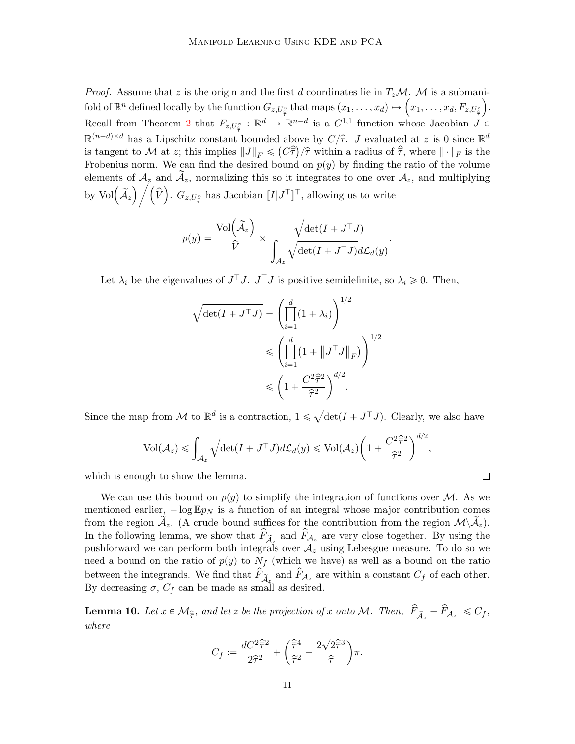*Proof.* Assume that z is the origin and the first d coordinates lie in  $T_zM$ . M is a submani-*Proof.* Assume that z is the origin and the first d coordinates lie in  $T_zM$ . M is a submanifold of  $\mathbb{R}^n$  defined locally by the function  $G_{z,U_{\tilde{\tau}}^z}$  that maps  $(x_1,\ldots,x_d) \mapsto (x_1,\ldots,x_d,F_{z,U_{\tilde{\tau}}^z})$ . Recall from Theorem [2](#page-3-1) that  $F_{z,U_{\tilde{\tau}}^z}: \mathbb{R}^d \to \mathbb{R}^{n-d}$  is a  $C^{1,1}$  function whose Jacobian  $J \in$  $\mathbb{R}^{(n-d)\times d}$  has a Lipschitz constant bounded above by  $C/\hat{\tau}$ . J evaluated at z is 0 since  $\mathbb{R}^d$ is tangent to M at z; this implies  $||J||_F \leq (C\hat{\overline{\tau}})/\hat{\tau}$  within a radius of  $\hat{\overline{\tau}}$ , where  $||\cdot||_F$  is the Frobenius norm. We can find the desired bound on  $p(y)$  by finding the ratio of the volume elements of  $A_z$  and  $\tilde{A}_z$ , normalizing this so it integrates to one over  $A_z$ , and multiplying by Vol $(\widetilde{A}_z) / (\widehat{V})$ .  $G_{z,U_z^z}$  has Jacobian  $[I|J^{\top}]^{\top}$ , allowing us to write

$$
p(y) = \frac{\text{Vol}\left(\widetilde{A}_z\right)}{\widehat{V}} \times \frac{\sqrt{\det(I + J^\top J)}}{\int_{A_z} \sqrt{\det(I + J^\top J)} d\mathcal{L}_d(y)}.
$$

Let  $\lambda_i$  be the eigenvalues of  $J^{\top}J$ .  $J^{\top}J$  is positive semidefinite, so  $\lambda_i \geq 0$ . Then,

$$
\sqrt{\det(I + J^\top J)} = \left(\prod_{i=1}^d (1 + \lambda_i)\right)^{1/2}
$$

$$
\leqslant \left(\prod_{i=1}^d (1 + ||J^\top J||_F)\right)^{1/2}
$$

$$
\leqslant \left(1 + \frac{C^2 \hat{\tau}^2}{\hat{\tau}^2}\right)^{d/2}.
$$

Since the map from  $\mathcal M$  to  $\mathbb R^d$  is a contraction,  $1 \leq$  $\det(I + J^{\top}J)$ . Clearly, we also have

$$
\mathrm{Vol}(\mathcal{A}_z) \leq \int_{\mathcal{A}_z} \sqrt{\det(I + J^\top J)} d\mathcal{L}_d(y) \leq \mathrm{Vol}(\mathcal{A}_z) \bigg(1 + \frac{C^2 \hat{\tau}^2}{\hat{\tau}^2}\bigg)^{d/2},
$$

which is enough to show the lemma.

We can use this bound on  $p(y)$  to simplify the integration of functions over M. As we mentioned earlier,  $-\log \mathbb{E} p_N$  is a function of an integral whose major contribution comes from the region  $\mathcal{A}_z$ . (A crude bound suffices for the contribution from the region  $\mathcal{M}\backslash\mathcal{A}_z$ ). In the following lemma, we show that  $\hat{F}_{\tilde{A}_z}$  and  $\hat{F}_{A_z}$  are very close together. By using the pushforward we can perform both integrals over  $A<sub>z</sub>$  using Lebesgue measure. To do so we need a bound on the ratio of  $p(y)$  to  $N_f$  (which we have) as well as a bound on the ratio between the integrands. We find that  $\hat{F}_{\tilde{A}_z}$  and  $\hat{F}_{A_z}$  are within a constant  $C_f$  of each other. By decreasing  $\sigma$ ,  $C_f$  can be made as small as desired.

<span id="page-10-0"></span>**Lemma 10.** Let  $x \in \mathcal{M}_{\hat{\tau}}$ , and let z be the projection of x onto M. Then,  $\Big|$  $\left| \widehat{F}_{\widetilde{\mathcal{A}}_z} - \widehat{F}_{\mathcal{A}_z} \right| \leqslant C_f,$ where

$$
C_f := \frac{dC^2 \widehat{\overline{\tau}}^2}{2\widehat{\tau}^2} + \left(\frac{\widehat{\overline{\tau}}^4}{\widehat{\tau}^2} + \frac{2\sqrt{2}\widehat{\overline{\tau}}^3}{\widehat{\tau}}\right)\pi.
$$

 $\Box$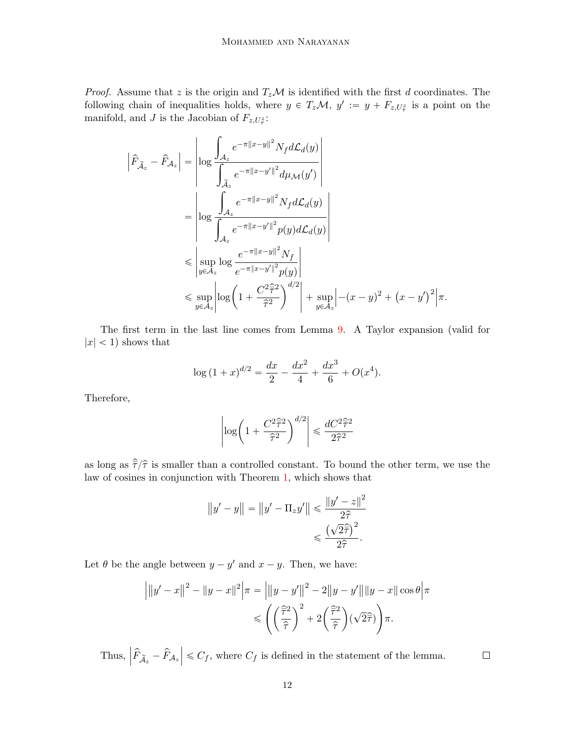*Proof.* Assume that z is the origin and  $T_zM$  is identified with the first d coordinates. The following chain of inequalities holds, where  $y \in T_z \mathcal{M}$ ,  $y' := y + F_{z,U_{\tau}^z}$  is a point on the manifold, and J is the Jacobian of  $F_{z,U_{\tilde{\tau}}}$ :

$$
\left| \hat{F}_{\tilde{A}_z} - \hat{F}_{A_z} \right| = \left| \log \frac{\int_{A_z} e^{-\pi ||x-y||^2} N_f d\mathcal{L}_d(y)}{\int_{\tilde{A}_z} e^{-\pi ||x-y'||^2} d\mu_{\mathcal{M}}(y')} \right|
$$
  
\n
$$
= \left| \log \frac{\int_{A_z} e^{-\pi ||x-y||^2} N_f d\mathcal{L}_d(y)}{\int_{A_z} e^{-\pi ||x-y'||^2} p(y) d\mathcal{L}_d(y)} \right|
$$
  
\n
$$
\leq \left| \sup_{y \in A_z} \log \frac{e^{-\pi ||x-y||^2} N_f}{e^{-\pi ||x-y'||^2} p(y)} \right|
$$
  
\n
$$
\leq \sup_{y \in A_z} \left| \log \left( 1 + \frac{C^2 \hat{\tau}^2}{\hat{\tau}^2} \right)^{d/2} \right| + \sup_{y \in A_z} \left| -(x-y)^2 + (x-y')^2 \right| \pi.
$$

The first term in the last line comes from Lemma [9.](#page-9-0) A Taylor expansion (valid for  $|x|$  < 1) shows that

$$
\log (1+x)^{d/2} = \frac{dx}{2} - \frac{dx^2}{4} + \frac{dx^3}{6} + O(x^4).
$$

Therefore,

$$
\left|\log\left(1+\frac{C^2\widehat{\bar\tau}^2}{\widehat{\tau}^2}\right)^{d/2}\right|\leqslant\frac{dC^2\widehat{\bar\tau}^2}{2\widehat{\tau}^2}
$$

as long as  $\hat{\tau}/\hat{\tau}$  is smaller than a controlled constant. To bound the other term, we use the law of cosines in conjunction with Theorem [1,](#page-3-0) which shows that

$$
||y'-y|| = ||y'-\Pi_z y'|| \le \frac{||y'-z||^2}{2\hat{\tau}}
$$

$$
\le \frac{(\sqrt{2}\hat{\tau})^2}{2\hat{\tau}}.
$$

Let  $\theta$  be the angle between  $y - y'$  and  $x - y$ . Then, we have:

$$
\left| \|y' - x\|^2 - \|y - x\|^2 \right| \pi = \left| \|y - y'\|^2 - 2\|y - y'\|\|y - x\|\cos\theta\right| \pi
$$
  

$$
\leq \left( \left(\frac{\widehat{\tau}^2}{\widehat{\tau}}\right)^2 + 2\left(\frac{\widehat{\tau}^2}{\widehat{\tau}}\right)(\sqrt{2}\widehat{\tau}) \right) \pi.
$$

Thus,  $\Big|$  $\left| \widehat{F}_{\widetilde{A}z} - \widehat{F}_{A_z} \right| \leq C_f$ , where  $C_f$  is defined in the statement of the lemma.

12

 $\Box$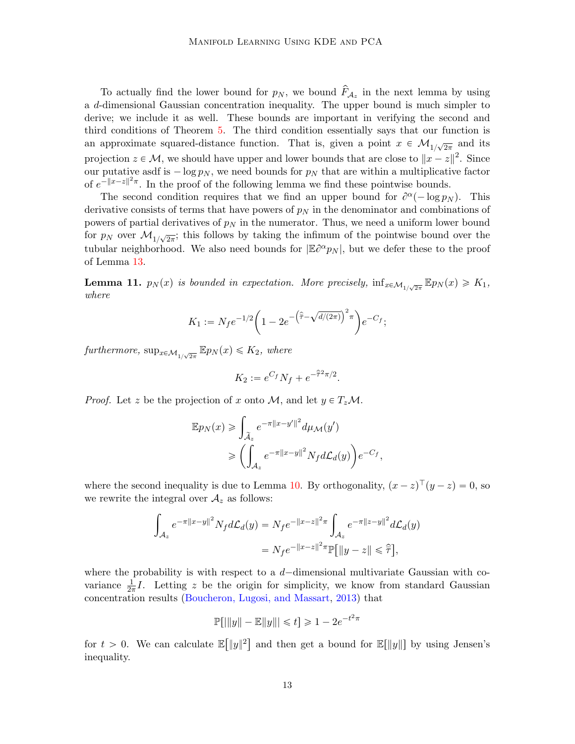To actually find the lower bound for  $p_N$ , we bound  $\widehat{F}_{\mathcal{A}_z}$  in the next lemma by using a d-dimensional Gaussian concentration inequality. The upper bound is much simpler to derive; we include it as well. These bounds are important in verifying the second and third conditions of Theorem [5.](#page-5-0) The third condition essentially says that our function is an approximate squared-distance function. That is, given a point  $x \in \mathcal{M}_{1/\sqrt{2\pi}}$  and its projection  $z \in \mathcal{M}$ , we should have upper and lower bounds that are close to  $||x - z||^2$ . Since our putative asdf is  $-\log p_N$ , we need bounds for  $p_N$  that are within a multiplicative factor of  $e^{-||x-z||^2\pi}$ . In the proof of the following lemma we find these pointwise bounds.

The second condition requires that we find an upper bound for  $\partial^{\alpha}(-\log p_N)$ . This derivative consists of terms that have powers of  $p<sub>N</sub>$  in the denominator and combinations of powers of partial derivatives of  $p<sub>N</sub>$  in the numerator. Thus, we need a uniform lower bound for  $p_N$  over  $\mathcal{M}_{1/\sqrt{2\pi}}$ ; this follows by taking the infimum of the pointwise bound over the tubular neighborhood. We also need bounds for  $|\mathbb{E} \partial^{\alpha} p_N|$ , but we defer these to the proof of Lemma [13.](#page-17-0)

<span id="page-12-0"></span>**Lemma 11.**  $p_N(x)$  is bounded in expectation. More precisely,  $\inf_{x \in \mathcal{M}_{1/\sqrt{2\pi}}} \mathbb{E} p_N(x) \geq K_1$ , where

$$
K_1 := N_f e^{-1/2} \left( 1 - 2e^{-\left(\hat{\tilde{\tau}} - \sqrt{d/(2\pi)}\right)^2 \pi} \right) e^{-C_f};
$$

furthermore,  $\sup_{x \in \mathcal{M}_{1/\sqrt{2\pi}}} \mathbb{E} p_N(x) \leq K_2$ , where

$$
K_2 := e^{C_f} N_f + e^{-\hat{\bar{\tau}}^2 \pi/2}.
$$

*Proof.* Let z be the projection of x onto M, and let  $y \in T_z \mathcal{M}$ .

$$
\mathbb{E}p_N(x) \ge \int_{\tilde{A}_z} e^{-\pi ||x - y'||^2} d\mu_{\mathcal{M}}(y')
$$

$$
\ge \left( \int_{\mathcal{A}_z} e^{-\pi ||x - y||^2} N_f d\mathcal{L}_d(y) \right) e^{-C_f}
$$

,

where the second inequality is due to Lemma [10.](#page-10-0) By orthogonality,  $(x - z)^{\top} (y - z) = 0$ , so we rewrite the integral over  $A_z$  as follows:

$$
\int_{\mathcal{A}_z} e^{-\pi ||x-y||^2} N_f d\mathcal{L}_d(y) = N_f e^{-||x-z||^2 \pi} \int_{\mathcal{A}_z} e^{-\pi ||z-y||^2} d\mathcal{L}_d(y)
$$
  
=  $N_f e^{-||x-z||^2 \pi} \mathbb{P}[||y-z|| \leq \hat{\overline{\tau}}],$ 

where the probability is with respect to a  $d$ -dimensional multivariate Gaussian with covariance  $\frac{1}{2\pi}I$ . Letting z be the origin for simplicity, we know from standard Gaussian concentration results [\(Boucheron, Lugosi, and Massart,](#page-34-14) [2013\)](#page-34-14) that

$$
\mathbb{P}[|\|y\| - \mathbb{E}\|y\|| \le t] \ge 1 - 2e^{-t^2\pi}
$$

for  $t > 0$ . We can calculate  $E$  $||y||^2]$ and then get a bound for  $\mathbb{E}[\Vert y \Vert]$  by using Jensen's inequality.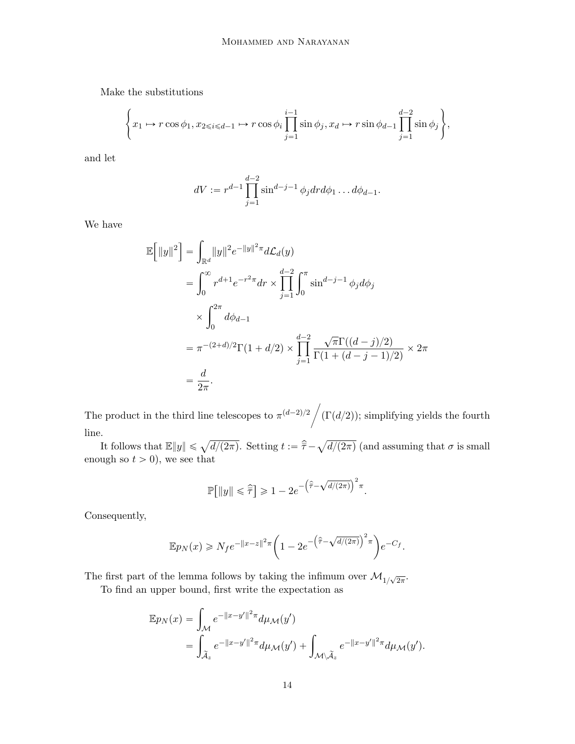Make the substitutions

$$
\left\{x_1 \mapsto r\cos\phi_1, x_{2\leq i \leq d-1} \mapsto r\cos\phi_i \prod_{j=1}^{i-1} \sin\phi_j, x_d \mapsto r\sin\phi_{d-1} \prod_{j=1}^{d-2} \sin\phi_j\right\},\right\}
$$

and let

$$
dV := r^{d-1} \prod_{j=1}^{d-2} \sin^{d-j-1} \phi_j dr d\phi_1 \dots d\phi_{d-1}.
$$

We have

$$
\mathbb{E}\left[\|y\|^2\right] = \int_{\mathbb{R}^d} \|y\|^2 e^{-\|y\|^2 \pi} d\mathcal{L}_d(y)
$$
  
\n
$$
= \int_0^\infty r^{d+1} e^{-r^2 \pi} dr \times \prod_{j=1}^{d-2} \int_0^\pi \sin^{d-j-1} \phi_j d\phi_j
$$
  
\n
$$
\times \int_0^{2\pi} d\phi_{d-1}
$$
  
\n
$$
= \pi^{-(2+d)/2} \Gamma(1 + d/2) \times \prod_{j=1}^{d-2} \frac{\sqrt{\pi} \Gamma((d-j)/2)}{\Gamma(1 + (d-j-1)/2)} \times 2\pi
$$
  
\n
$$
= \frac{d}{2\pi}.
$$

The product in the third line telescopes to  $\pi^{(d-2)/2}$  $(\Gamma(d/2))$ ; simplifying yields the fourth line.

It follows that  $\mathbb{E} \|y\| \leq \sqrt{d/(2\pi)}$ . Setting  $t := \hat{\overline{\tau}} - \sqrt{\frac{2\pi}{d}}$  $d/(2\pi)$  (and assuming that  $\sigma$  is small enough so  $t > 0$ , we see that

$$
\mathbb{P}\!\left[\|y\| \leqslant \widehat{\overline{\tau}}\right] \geqslant 1 - 2e^{-\left(\widehat{\overline{\tau}} - \sqrt{d/(2\pi)}\right)^2 \pi}.
$$

Consequently,

$$
\mathbb{E} p_N(x) \ge N_f e^{-\|x-z\|^2 \pi} \left(1 - 2e^{-\left(\widehat{\bar{\tau}} - \sqrt{d/(2\pi)}\right)^2 \pi}\right) e^{-C_f}.
$$

The first part of the lemma follows by taking the infimum over  $\mathcal{M}_{1/\sqrt{2\pi}}$ .

To find an upper bound, first write the expectation as

$$
\mathbb{E}p_N(x) = \int_{\mathcal{M}} e^{-\|x-y'\|^2 \pi} d\mu_{\mathcal{M}}(y')
$$
  
= 
$$
\int_{\widetilde{\mathcal{A}}_z} e^{-\|x-y'\|^2 \pi} d\mu_{\mathcal{M}}(y') + \int_{\mathcal{M} \backslash \widetilde{\mathcal{A}}_z} e^{-\|x-y'\|^2 \pi} d\mu_{\mathcal{M}}(y').
$$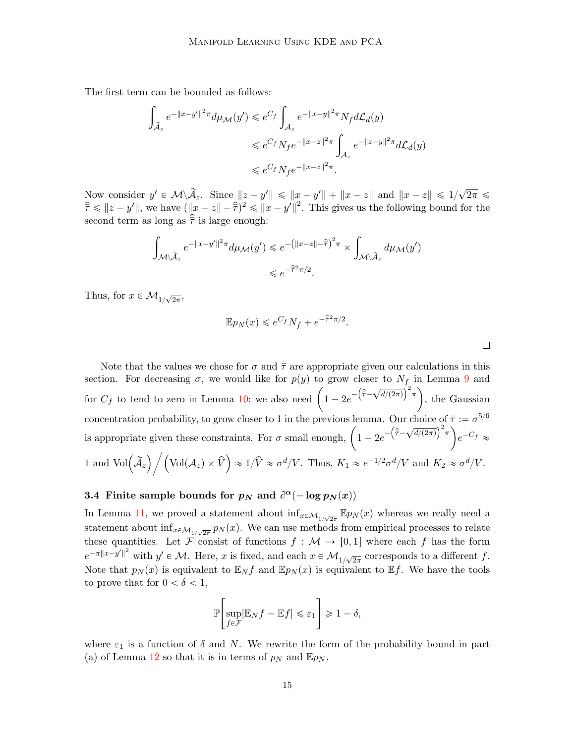The first term can be bounded as follows:

$$
\int_{\tilde{\mathcal{A}}_z} e^{-\|x-y'\|^2 \pi} d\mu_{\mathcal{M}}(y') \leqslant e^{C_f} \int_{\mathcal{A}_z} e^{-\|x-y\|^2 \pi} N_f d\mathcal{L}_d(y)
$$
\n
$$
\leqslant e^{C_f} N_f e^{-\|x-z\|^2 \pi} \int_{\mathcal{A}_z} e^{-\|z-y\|^2 \pi} d\mathcal{L}_d(y)
$$
\n
$$
\leqslant e^{C_f} N_f e^{-\|x-z\|^2 \pi}.
$$

Now consider  $y' \in \mathcal{M} \setminus \widetilde{\mathcal{A}}_z$ . Since  $||z - y'|| \le ||x - y'|| + ||x - z||$  and  $||x - z|| \le 1/\sqrt{2}$  $2\pi \leqslant$  $\hat{\overline{\tau}} \leq ||z - y'||$ , we have  $(||x - z|| - \hat{\overline{\tau}})^2 \leq ||x - y'||^2$ . This gives us the following bound for the second term as long as  $\bar{\tau}$  is large enough:

$$
\int_{\mathcal{M}\backslash\widetilde{\mathcal{A}}_z} e^{-\|x-y'\|^2 \pi} d\mu_{\mathcal{M}}(y') \leqslant e^{-\left(\|x-z\|-\widehat{\widetilde{\tau}}\right)^2 \pi} \times \int_{\mathcal{M}\backslash\widetilde{\mathcal{A}}_z} d\mu_{\mathcal{M}}(y')
$$
  

$$
\leqslant e^{-\widehat{\widetilde{\tau}}^2 \pi/2}.
$$

Thus, for  $x \in \mathcal{M}_{1/\sqrt{2\pi}}$ ,

$$
\mathbb{E}p_N(x) \leqslant e^{C_f} N_f + e^{-\hat{\tau}^2 \pi/2}.
$$

Note that the values we chose for  $\sigma$  and  $\bar{\tau}$  are appropriate given our calculations in this section. For decreasing  $\sigma$ , we would like for  $p(y)$  to grow closer to  $N_f$  in Lemma [9](#page-9-0) and section. For decreasing  $\sigma$ , we would like for  $p(y)$  to grow closer to  $N_f$  in Lemma 9 and<br>for  $C_f$  to tend to zero in Lemma [10;](#page-10-0) we also need  $\left(1 - 2e^{-\left(\hat{\bar{\tau}} - \sqrt{d/(2\pi)}\right)^2 \pi}\right)$ , the Gaussian concentration probability, to grow closer to 1 in the previous lemma. Our choice of  $\bar{\tau} := \sigma^{5/6}$ concentration probability, to grow closer to 1 in the previous lemma. Our choice of  $\bar{\tau} := \sigma^{0/6}$ <br>is appropriate given these constraints. For  $\sigma$  small enough,  $\left(1 - 2e^{-\left(\hat{\bar{\tau}} - \sqrt{d/(2\pi)}\right)^2 \pi}\right) e^{-C_f} \approx$ 1 and  $\text{Vol}(\widetilde{A}_z)$   $/ (\text{Vol}(A_z) \times \widehat{V}) \approx 1/\widehat{V} \approx \sigma^d/V$ . Thus,  $K_1 \approx e^{-1/2} \sigma^d/V$  and  $K_2 \approx \sigma^d/V$ . <del>o</del>

# 3.4 Finite sample bounds for  $p_N$  and  $\partial^{\alpha}(-\log p_N(x))$

In Lemma [11,](#page-12-0) we proved a statement about  $\inf_{x \in \mathcal{M}_{1/\sqrt{2\pi}}} \mathbb{E} p_N(x)$  whereas we really need a statement about  $\inf_{x \in \mathcal{M}_{1/\sqrt{2\pi}}} p_N(x)$ . We can use methods from empirical processes to relate these quantities. Let  $\mathcal{F}$  consist of functions  $f : \mathcal{M} \to [0, 1]$  where each f has the form  $e^{-\pi ||x-y'||^2}$  with  $y' \in \mathcal{M}$ . Here, x is fixed, and each  $x \in \mathcal{M}_{1/\sqrt{2\pi}}$  corresponds to a different f. Note that  $p_N(x)$  is equivalent to  $\mathbb{E}_N f$  and  $\mathbb{E} p_N(x)$  is equivalent to  $\mathbb{E} f$ . We have the tools to prove that for  $0 < \delta < 1$ ,

$$
\mathbb{P}\left[\sup_{f \in \mathcal{F}} |\mathbb{E}_N f - \mathbb{E} f| \leq \varepsilon_1\right] \geq 1 - \delta,
$$

where  $\varepsilon_1$  is a function of  $\delta$  and  $N$ . We rewrite the form of the probability bound in part (a) of Lemma [12](#page-15-0) so that it is in terms of  $p<sub>N</sub>$  and  $\mathbb{E}p<sub>N</sub>$ .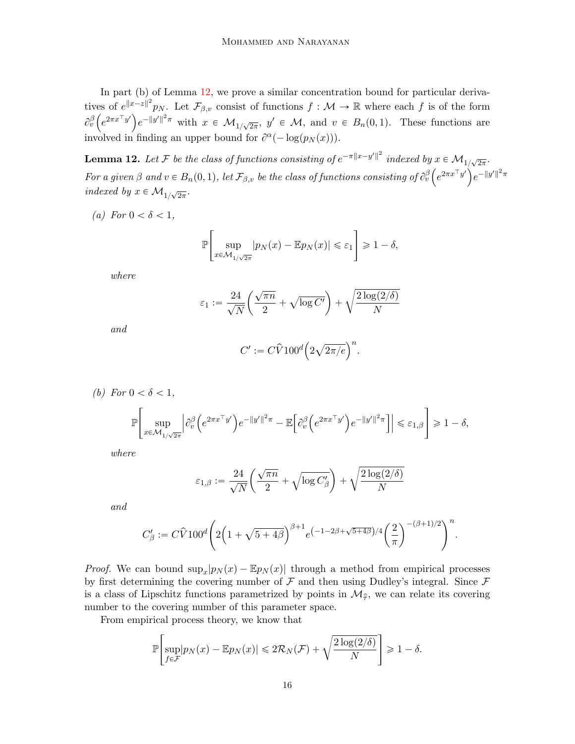In part (b) of Lemma [12,](#page-15-0) we prove a similar concentration bound for particular derivatives of  $e^{||x-z||^2}p_N$ . Let  $\mathcal{F}_{\beta,v}$  consist of functions  $f: \mathcal{M} \to \mathbb{R}$  where each f is of the form  $\partial_v^{\beta} \left( e^{2\pi x^{\top} y'} \right) e^{-\|y'\|^2 \pi}$  with  $x \in \mathcal{M}_{1/\sqrt{2\pi}}, y' \in \mathcal{M}, \text{ and } v \in B_n(0,1).$  These functions are involved in finding an upper bound for  $\partial^{\alpha}(-\log(p_N(x)))$ .

<span id="page-15-0"></span>**Lemma 12.** Let F be the class of functions consisting of  $e^{-\pi ||x-y'||^2}$  indexed by  $x \in \mathcal{M}_{1/\sqrt{2\pi}}$ . For a given  $\beta$  and  $v \in B_n(0,1)$ , let  $\mathcal{F}_{\beta,v}$  be the class of functions consisting of  $\partial_v^{\beta} \left( e^{2\pi x^\top y'} \right) e^{-\|y'\|^2 \pi}$ indexed by  $x \in \mathcal{M}_{1/\sqrt{2\pi}}$ .

(a) For  $0 < \delta < 1$ ,

$$
\mathbb{P}\left[\sup_{x \in \mathcal{M}_{1/\sqrt{2\pi}}} |p_N(x) - \mathbb{E}p_N(x)| \leq \varepsilon_1\right] \geq 1 - \delta,
$$

where

$$
\varepsilon_1 := \frac{24}{\sqrt{N}} \left( \frac{\sqrt{\pi n}}{2} + \sqrt{\log C'} \right) + \sqrt{\frac{2 \log(2/\delta)}{N}}
$$

and

$$
C' := C\widehat{V}100^d \Big(2\sqrt{2\pi/e}\Big)^n.
$$

(b) For 
$$
0 < \delta < 1
$$
,  
\n
$$
\mathbb{P}\left[\sup_{x \in \mathcal{M}_{1/\sqrt{2\pi}}} \left| \partial_v^{\beta} \left( e^{2\pi x^{\top} y'} \right) e^{-\|y'\|^2 \pi} - \mathbb{E}\left[ \partial_v^{\beta} \left( e^{2\pi x^{\top} y'} \right) e^{-\|y'\|^2 \pi} \right] \right| \leq \varepsilon_{1,\beta} \right] \geq 1 - \delta,
$$

where

$$
\varepsilon_{1,\beta} := \frac{24}{\sqrt{N}} \bigg( \frac{\sqrt{\pi n}}{2} + \sqrt{\log C'_{\beta}} \bigg) + \sqrt{\frac{2\log(2/\delta)}{N}}
$$

and

$$
C_{\beta}':= C\hat{V}100^d\Bigg(2\Big(1+\sqrt{5+4\beta}\Big)^{\beta+1}e^{\big(-1-2\beta+\sqrt{5+4\beta}\big)/4}\bigg(\frac{2}{\pi}\bigg)^{-(\beta+1)/2}\Bigg)^n.
$$

*Proof.* We can bound  $\sup_x |p_N(x) - \mathbb{E}p_N(x)|$  through a method from empirical processes by first determining the covering number of  $\mathcal F$  and then using Dudley's integral. Since  $\mathcal F$ is a class of Lipschitz functions parametrized by points in  $\mathcal{M}_{\hat{\tau}}$ , we can relate its covering number to the covering number of this parameter space.

From empirical process theory, we know that

$$
\mathbb{P}\left[\sup_{f\in\mathcal{F}}|p_N(x)-\mathbb{E}p_N(x)|\leq 2\mathcal{R}_N(\mathcal{F})+\sqrt{\frac{2\log(2/\delta)}{N}}\right]\geq 1-\delta.
$$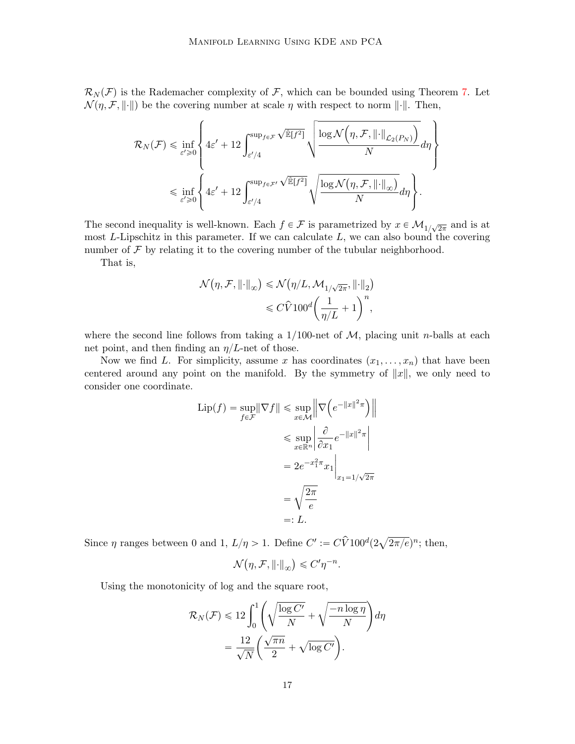$\mathcal{R}_N(\mathcal{F})$  is the Rademacher complexity of  $\mathcal{F}$ , which can be bounded using Theorem [7.](#page-7-2) Let  $\mathcal{N}(\eta, \mathcal{F}, \|\cdot\|)$  be the covering number at scale  $\eta$  with respect to norm  $\|\cdot\|$ . Then,

$$
\mathcal{R}_N(\mathcal{F}) \leq \inf_{\varepsilon' \geq 0} \left\{ 4\varepsilon' + 12 \int_{\varepsilon'/4}^{\sup_{f \in \mathcal{F}} \sqrt{\mathbb{E}[f^2]}} \sqrt{\frac{\log \mathcal{N}\left(\eta, \mathcal{F}, ||\cdot||_{\mathcal{L}_2(P_N)}\right)}{N}} d\eta \right\}
$$
  

$$
\leq \inf_{\varepsilon' \geq 0} \left\{ 4\varepsilon' + 12 \int_{\varepsilon'/4}^{\sup_{f \in \mathcal{F}'} \sqrt{\mathbb{E}[f^2]}} \sqrt{\frac{\log \mathcal{N}\left(\eta, \mathcal{F}, ||\cdot||_{\infty}\right)}{N}} d\eta \right\}.
$$

The second inequality is well-known. Each  $f \in \mathcal{F}$  is parametrized by  $x \in \mathcal{M}_{1/\sqrt{2\pi}}$  and is at most  $L$ -Lipschitz in this parameter. If we can calculate  $L$ , we can also bound the covering number of  $\mathcal F$  by relating it to the covering number of the tubular neighborhood.

That is,

$$
\begin{aligned} \mathcal{N}\big(\eta,\mathcal{F},\left\|\cdot\right\|_{\infty}\big) &\leqslant \mathcal{N}\big(\eta/L,\mathcal{M}_{1/\sqrt{2\pi}},\left\|\cdot\right\|_{2}\big) \\ &\leqslant C \hat{V} 100^{d} \bigg(\frac{1}{\eta/L}+1\bigg)^{n}, \end{aligned}
$$

where the second line follows from taking a  $1/100$ -net of M, placing unit n-balls at each net point, and then finding an  $\eta/L$ -net of those.

Now we find L. For simplicity, assume x has coordinates  $(x_1, \ldots, x_n)$  that have been centered around any point on the manifold. By the symmetry of  $||x||$ , we only need to consider one coordinate.

$$
\text{Lip}(f) = \sup_{f \in \mathcal{F}} \|\nabla f\| \le \sup_{x \in \mathcal{M}} \left\| \nabla \left( e^{-\|x\|^2 \pi} \right) \right\|
$$
  

$$
\le \sup_{x \in \mathbb{R}^n} \left| \frac{\partial}{\partial x_1} e^{-\|x\|^2 \pi} \right|
$$
  

$$
= 2e^{-x_1^2 \pi} x_1 \Big|_{x_1 = 1/\sqrt{2\pi}}
$$
  

$$
= \sqrt{\frac{2\pi}{e}}
$$
  

$$
=: L.
$$

Since  $\eta$  ranges between 0 and 1,  $L/\eta > 1$ . Define  $C' := C\widehat{V}100^d(2)$  $\sqrt{2\pi/e}$ <sup>n</sup>; then,

$$
\mathcal{N}(\eta, \mathcal{F}, \left\|\cdot\right\|_{\infty}) \leq C' \eta^{-n}.
$$

Using the monotonicity of log and the square root,

$$
\mathcal{R}_N(\mathcal{F}) \leq 12 \int_0^1 \left( \sqrt{\frac{\log C'}{N}} + \sqrt{\frac{-n \log \eta}{N}} \right) d\eta
$$
  
= 
$$
\frac{12}{\sqrt{N}} \left( \frac{\sqrt{\pi n}}{2} + \sqrt{\log C'} \right).
$$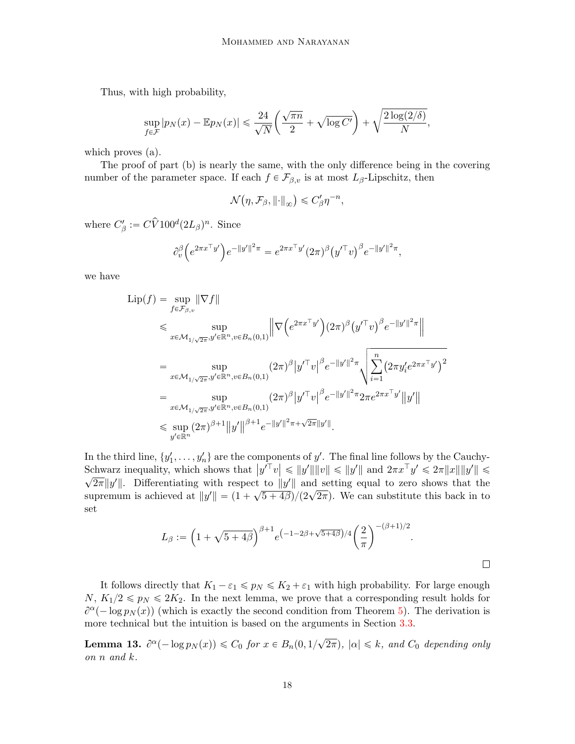Thus, with high probability,

$$
\sup_{f \in \mathcal{F}} |p_N(x) - \mathbb{E} p_N(x)| \leq \frac{24}{\sqrt{N}} \left( \frac{\sqrt{\pi n}}{2} + \sqrt{\log C'} \right) + \sqrt{\frac{2 \log(2/\delta)}{N}},
$$

which proves (a).

The proof of part (b) is nearly the same, with the only difference being in the covering number of the parameter space. If each  $f \in \mathcal{F}_{\beta,v}$  is at most  $L_\beta$ -Lipschitz, then

$$
\mathcal{N}\big(\eta,\mathcal{F}_{\beta},\left\|\cdot\right\|_{\infty}\big)\leqslant C_{\beta}'\eta^{-n},
$$

where  $C_{\beta}':= C\hat{V}100^d(2L_{\beta})^n$ . Since

$$
\partial_v^{\beta} \Big( e^{2\pi x^\top y'} \Big) e^{-\|y'\|^2 \pi} = e^{2\pi x^\top y'} (2\pi)^{\beta} \big( y'^\top v \big)^{\beta} e^{-\|y'\|^2 \pi},
$$

we have

$$
\begin{split} \text{Lip}(f) &= \sup_{f \in \mathcal{F}_{\beta,v}} \|\nabla f\| \\ &\leqslant \sup_{x \in \mathcal{M}_{1/\sqrt{2\pi}}, y' \in \mathbb{R}^n, v \in B_n(0,1)} \left\| \nabla \left( e^{2\pi x^\top y'} \right) (2\pi)^{\beta} \left( y'^\top v \right)^{\beta} e^{-\|y'\|^2 \pi} \right\| \\ &= \sup_{x \in \mathcal{M}_{1/\sqrt{2\pi}}, y' \in \mathbb{R}^n, v \in B_n(0,1)} \left( 2\pi \right)^{\beta} \left| y'^\top v \right|^{\beta} e^{-\|y'\|^2 \pi} \sqrt{\sum_{i=1}^n \left( 2\pi y_i' e^{2\pi x^\top y'} \right)^2} \\ &= \sup_{x \in \mathcal{M}_{1/\sqrt{2\pi}}, y' \in \mathbb{R}^n, v \in B_n(0,1)} \left( 2\pi \right)^{\beta} \left| y'^\top v \right|^{\beta} e^{-\|y'\|^2 \pi} 2\pi e^{2\pi x^\top y'} \left\|y'\right\| \\ &\leqslant \sup_{y' \in \mathbb{R}^n} \left( 2\pi \right)^{\beta+1} \left\|y' \right\|^{\beta+1} e^{-\|y'\|^2 \pi + \sqrt{2\pi} \|y'\|}. \end{split}
$$

In the third line,  $\{y'_1, \ldots, y'_n\}$  are the components of y'. The final line follows by the Cauchy-Schwarz inequality, which shows that  $|y'^\top v| \le ||y'|| ||v|| \le ||y'||$  and  $2\pi x^\top y' \le 2\pi ||x|| ||y'|| \le$  $\overline{2\pi}\|y'\|$ . Differentiating with respect to  $\|y'\|$  and setting equal to zero shows that the supremum is achieved at  $||y'|| = (1 + \sqrt{5 + 4\beta})/(2\sqrt{2\pi})$ . We can substitute this back in to set

$$
L_{\beta} := \left(1 + \sqrt{5 + 4\beta}\right)^{\beta + 1} e^{\left(-1 - 2\beta + \sqrt{5 + 4\beta}\right)/4} \left(\frac{2}{\pi}\right)^{-(\beta + 1)/2}.
$$

It follows directly that  $K_1 - \varepsilon_1 \leq p_N \leq K_2 + \varepsilon_1$  with high probability. For large enough  $N, K_1/2 \leq p_N \leq 2K_2$ . In the next lemma, we prove that a corresponding result holds for  $\partial^{\alpha}(-\log p_N(x))$  (which is exactly the second condition from Theorem [5\)](#page-5-0). The derivation is more technical but the intuition is based on the arguments in Section [3.3.](#page-9-1)

<span id="page-17-0"></span>**Lemma 13.**  $\partial^{\alpha}(-\log p_N(x)) \leq C_0$  for  $x \in B_n(0, 1/\sqrt{2})$  $(2\pi)$ ,  $|\alpha| \leq k$ , and  $C_0$  depending only on n and k.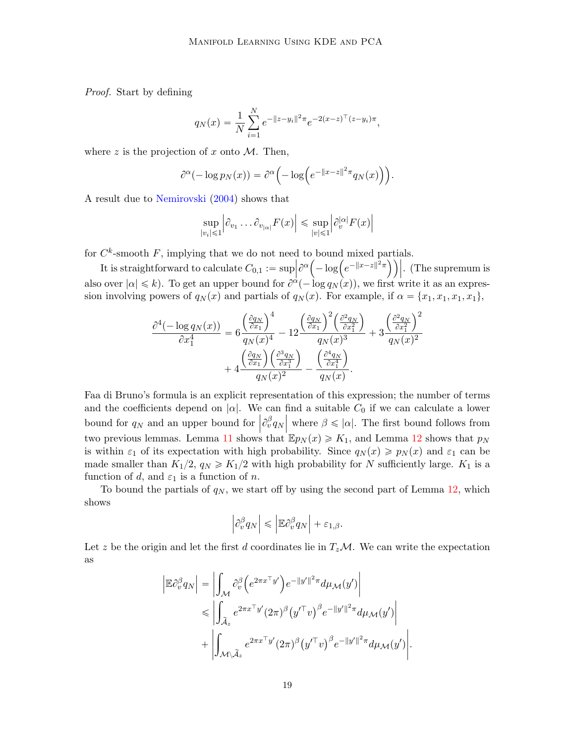Proof. Start by defining

$$
q_N(x) = \frac{1}{N} \sum_{i=1}^N e^{-\|z - y_i\|^2 \pi} e^{-2(x - z)^{\top} (z - y_i)\pi},
$$

where z is the projection of x onto  $M$ . Then,

$$
\partial^{\alpha}(-\log p_N(x)) = \partial^{\alpha}\Big(-\log\Big(e^{-\|x-z\|^2\pi}q_N(x)\Big)\Big).
$$

A result due to [Nemirovski](#page-34-15) [\(2004\)](#page-34-15) shows that

$$
\sup_{|v_i| \le 1} \left| \partial_{v_1} \dots \partial_{v_{|\alpha|}} F(x) \right| \le \sup_{|v| \le 1} \left| \partial_v^{|\alpha|} F(x) \right|
$$

for  $C^k$ -smooth F, implying that we do not need to bound mixed partials.<br>
It is straightforward to calculate  $C_{\alpha}$ ,  $\frac{1}{C_{\alpha}} = \frac{\text{sup} |\partial^{\alpha}(-\log(e^{-\|x-z\|^2 \pi)}))}{\alpha}$ 

 $C^{\kappa}$ -smooth F, implying that we do not need to bound mixed partials.<br>It is straightforward to calculate  $C_{0,1} := \sup_{\alpha} \left| \frac{\partial^{\alpha} \left( -\log \left( e^{-\|x-z\|^2 \pi} \right) \right) \right|$ . (The supremum is also over  $|\alpha| \le k$ ). To get an upper bound for  $\partial^{\alpha}(-\log q_N(x))$ , we first write it as an expression involving powers of  $q_N(x)$  and partials of  $q_N(x)$ . For example, if  $\alpha = \{x_1, x_1, x_1, x_1\}$ ,

$$
\frac{\partial^4(-\log q_N(x))}{\partial x_1^4} = 6 \frac{\left(\frac{\partial q_N}{\partial x_1}\right)^4}{q_N(x)^4} - 12 \frac{\left(\frac{\partial q_N}{\partial x_1}\right)^2 \left(\frac{\partial^2 q_N}{\partial x_1^2}\right)}{q_N(x)^3} + 3 \frac{\left(\frac{\partial^2 q_N}{\partial x_1^2}\right)^2}{q_N(x)^2} + 4 \frac{\left(\frac{\partial q_N}{\partial x_1}\right) \left(\frac{\partial^3 q_N}{\partial x_1^3}\right)}{q_N(x)^2} - \frac{\left(\frac{\partial^4 q_N}{\partial x_1^4}\right)}{q_N(x)}.
$$

Faa di Bruno's formula is an explicit representation of this expression; the number of terms and the coefficients depend on  $|\alpha|$ . We can find a suitable  $C_0$  if we can calculate a lower bound for  $q_N$  and an upper bound for  $\left|\frac{\partial^{\beta} q_N}{\partial x_N}\right|$  where  $\beta \leq |\alpha|$ . The first bound follows from two previous lemmas. Lemma [11](#page-12-0) shows that  $\mathbb{E} p_N(x) \geq K_1$ , and Lemma [12](#page-15-0) shows that  $p_N$ is within  $\varepsilon_1$  of its expectation with high probability. Since  $q_N(x) \geq p_N(x)$  and  $\varepsilon_1$  can be made smaller than  $K_1/2$ ,  $q_N \ge K_1/2$  with high probability for N sufficiently large.  $K_1$  is a function of d, and  $\varepsilon_1$  is a function of n.

To bound the partials of  $q_N$ , we start off by using the second part of Lemma [12,](#page-15-0) which shows

$$
\left|\partial_v^{\beta} q_N\right| \leqslant \left|{\mathbb E}\partial_v^{\beta} q_N\right|+\varepsilon_{1,\beta}.
$$

Let z be the origin and let the first d coordinates lie in  $T_z\mathcal{M}$ . We can write the expectation as

$$
\begin{split} \left| \mathbb{E} \partial_v^{\beta} q_N \right| &= \left| \int_{\mathcal{M}} \partial_v^{\beta} \left( e^{2\pi x^{\top} y'} \right) e^{-\|y'\|^2 \pi} d\mu_{\mathcal{M}}(y') \right| \\ &\leqslant \left| \int_{\widetilde{\mathcal{A}}_z} e^{2\pi x^{\top} y'} (2\pi)^{\beta} \left( y'^{\top} v \right)^{\beta} e^{-\|y'\|^2 \pi} d\mu_{\mathcal{M}}(y') \right| \\ &+ \left| \int_{\mathcal{M} \setminus \widetilde{\mathcal{A}}_z} e^{2\pi x^{\top} y'} (2\pi)^{\beta} \left( y'^{\top} v \right)^{\beta} e^{-\|y'\|^2 \pi} d\mu_{\mathcal{M}}(y') \right| . \end{split}
$$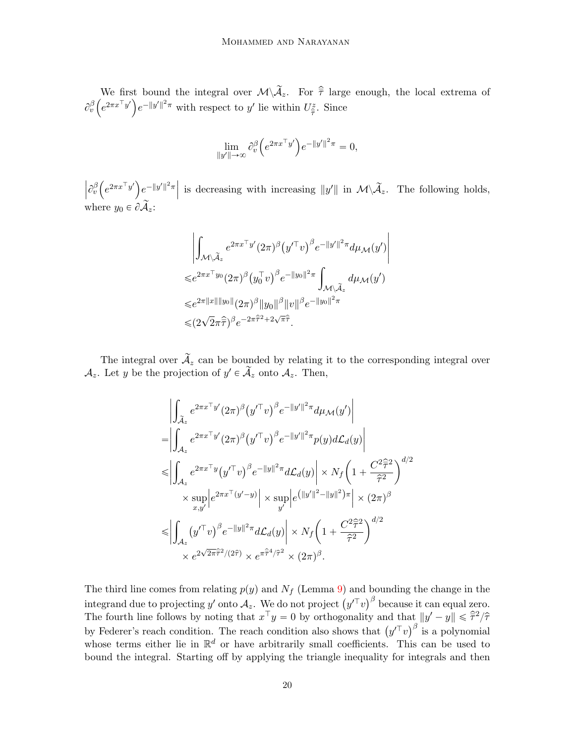We first bound the integral over  $\mathcal{M}\backslash\widetilde{\mathcal{A}}_z$ . For  $\widehat{\overline{\tau}}$  large enough, the local extrema of  $\partial_v^\beta$ We first<br> $e^{2\pi x^\top y'}$  $e^{-\|y'\|^2 \pi}$  with respect to y' lie within  $U^z_{\hat{\tau}}$ . Since

$$
\lim_{\|y'\|\to\infty} \partial_v^{\beta} \Big( e^{2\pi x^\top y'} \Big) e^{-\|y'\|^2 \pi} = 0,
$$

 $\Big|\partial_v^\beta$  $e^{2\pi x^\top y'}$  $\left\|e^{-\|y'\|^2\pi}\right\|$  is decreasing with increasing  $\|y'\|$  in  $\mathcal{M}\backslash\widetilde{\mathcal{A}}_z$ . The following holds, where  $y_0 \in \partial \widetilde{\mathcal{A}}_z$ :

$$
\left| \int_{\mathcal{M}\backslash\widetilde{\mathcal{A}}_{z}} e^{2\pi x^{\top}y'} (2\pi)^{\beta} (y'^{\top}v)^{\beta} e^{-\|y'\|^{2}\pi} d\mu_{\mathcal{M}}(y') \right|
$$
  
\n
$$
\leq e^{2\pi x^{\top}y_{0}} (2\pi)^{\beta} (y_{0}^{\top}v)^{\beta} e^{-\|y_{0}\|^{2}\pi} \int_{\mathcal{M}\backslash\widetilde{\mathcal{A}}_{z}} d\mu_{\mathcal{M}}(y')
$$
  
\n
$$
\leq e^{2\pi \|x\| \|y_{0}\|} (2\pi)^{\beta} \|y_{0}\|^{\beta} \|v\|^{\beta} e^{-\|y_{0}\|^{2}\pi}
$$
  
\n
$$
\leq (2\sqrt{2}\pi\widehat{\tau})^{\beta} e^{-2\pi\widehat{\tau}^{2}+2\sqrt{\pi}\widehat{\tau}}.
$$

The integral over  $\widetilde{\mathcal{A}}_z$  can be bounded by relating it to the corresponding integral over  $\mathcal{A}_z$ . Let y be the projection of  $y' \in \tilde{\mathcal{A}}_z$  onto  $\mathcal{A}_z$ . Then,

$$
\begin{split} &\left| \int_{\tilde{\mathcal{A}}_{z}} e^{2\pi x^{\top}y'} (2\pi)^{\beta} (y'^{\top}v)^{\beta} e^{-\|y'\|^2 \pi} d\mu_{\mathcal{M}}(y') \right| \\ =& \left| \int_{\mathcal{A}_{z}} e^{2\pi x^{\top}y'} (2\pi)^{\beta} (y'^{\top}v)^{\beta} e^{-\|y'\|^2 \pi} p(y) d\mathcal{L}_{d}(y) \right| \\ \leqslant & \left| \int_{\mathcal{A}_{z}} e^{2\pi x^{\top}y} (y'^{\top}v)^{\beta} e^{-\|y\|^2 \pi} d\mathcal{L}_{d}(y) \right| \times N_{f} \left( 1 + \frac{C^{2} \hat{\tau}^{2}}{\hat{\tau}^{2}} \right)^{d/2} \\ & \times \sup_{x,y'} \left| e^{2\pi x^{\top} (y' - y)} \right| \times \sup_{y'} \left| e^{(\|y'\|^2 - \|y\|^2) \pi} \right| \times (2\pi)^{\beta} \\ \leqslant & \left| \int_{\mathcal{A}_{z}} (y'^{\top}v)^{\beta} e^{-\|y\|^2 \pi} d\mathcal{L}_{d}(y) \right| \times N_{f} \left( 1 + \frac{C^{2} \hat{\tau}^{2}}{\hat{\tau}^{2}} \right)^{d/2} \\ & \times e^{2\sqrt{2\pi} \hat{\tau}^{2}/(2\hat{\tau})} \times e^{\pi \hat{\tau}^{4}/\hat{\tau}^{2}} \times (2\pi)^{\beta}. \end{split}
$$

The third line comes from relating  $p(y)$  and  $N_f$  (Lemma [9\)](#page-9-0) and bounding the change in the The third line comes from relating  $p(y)$  and  $N_f$  (Lemma  $y$ ) and bounding the change in the integrand due to projecting y' onto  $A_z$ . We do not project  $(y^T v)^\beta$  because it can equal zero. The fourth line follows by noting that  $x^{\top}y = 0$  by orthogonality and that  $||y' - y|| \leq \hat{\tau}^2/\hat{\tau}$ The fourth line follows by noting that  $x \cdot y = 0$  by orthogonality and that  $||y - y|| \le \tau^2/\tau$ <br>by Federer's reach condition. The reach condition also shows that  $(y'^{\top}v)^{\beta}$  is a polynomial whose terms either lie in  $\mathbb{R}^d$  or have arbitrarily small coefficients. This can be used to bound the integral. Starting off by applying the triangle inequality for integrals and then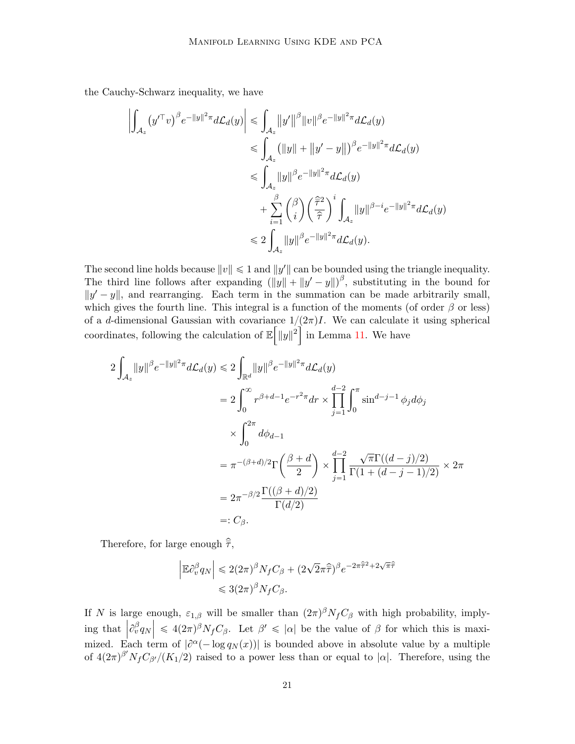the Cauchy-Schwarz inequality, we have

$$
\left| \int_{\mathcal{A}_z} (y'^{\top}v)^{\beta} e^{-\|y\|^2 \pi} d\mathcal{L}_d(y) \right| \leq \int_{\mathcal{A}_z} \|y'\|^{\beta} \|v\|^{\beta} e^{-\|y\|^2 \pi} d\mathcal{L}_d(y)
$$
  
\n
$$
\leq \int_{\mathcal{A}_z} (||y|| + ||y' - y||)^{\beta} e^{-\|y\|^2 \pi} d\mathcal{L}_d(y)
$$
  
\n
$$
\leq \int_{\mathcal{A}_z} \|y\|^{\beta} e^{-\|y\|^2 \pi} d\mathcal{L}_d(y)
$$
  
\n
$$
+ \sum_{i=1}^{\beta} {\beta \choose i} \left(\frac{\widehat{\tau}^2}{\widehat{\tau}}\right)^i \int_{\mathcal{A}_z} \|y\|^{\beta - i} e^{-\|y\|^2 \pi} d\mathcal{L}_d(y)
$$
  
\n
$$
\leq 2 \int_{\mathcal{A}_z} \|y\|^{\beta} e^{-\|y\|^2 \pi} d\mathcal{L}_d(y).
$$

The second line holds because  $||v|| \le 1$  and  $||y'||$  can be bounded using the triangle inequality. The third line follows after expanding  $(\|y\| + \|y' - y\|)^{\beta}$ , substituting in the bound for  $||y'-y||$ , and rearranging. Each term in the summation can be made arbitrarily small, which gives the fourth line. This integral is a function of the moments (of order  $\beta$  or less) of a d-dimensional Gaussian with covariance  $1/(2\pi)I$ . We can calculate it using spherical coordinates, following the calculation of  $\mathbb{E} \|\|y\|^2$  in Lemma [11.](#page-12-0) We have

$$
2\int_{\mathcal{A}_z} |y|^\beta e^{-\|y\|^2 \pi} d\mathcal{L}_d(y) \le 2\int_{\mathbb{R}^d} |y|^\beta e^{-\|y\|^2 \pi} d\mathcal{L}_d(y)
$$
  
\n
$$
= 2\int_0^\infty r^{\beta+d-1} e^{-r^2 \pi} dr \times \prod_{j=1}^{d-2} \int_0^\pi \sin^{d-j-1} \phi_j d\phi_j
$$
  
\n
$$
\times \int_0^{2\pi} d\phi_{d-1}
$$
  
\n
$$
= \pi^{-(\beta+d)/2} \Gamma\left(\frac{\beta+d}{2}\right) \times \prod_{j=1}^{d-2} \frac{\sqrt{\pi} \Gamma((d-j)/2)}{\Gamma(1+(d-j-1)/2)} \times 2\pi
$$
  
\n
$$
= 2\pi^{-\beta/2} \frac{\Gamma((\beta+d)/2)}{\Gamma(d/2)}
$$
  
\n
$$
=: C_\beta.
$$

Therefore, for large enough  $\hat{\overline{\tau}}$ ,

$$
\left| \mathbb{E} \partial_v^{\beta} q_N \right| \leq 2(2\pi)^{\beta} N_f C_{\beta} + (2\sqrt{2}\pi \hat{\tau})^{\beta} e^{-2\pi \hat{\tau}^2 + 2\sqrt{\pi} \hat{\tau}}
$$
  

$$
\leq 3(2\pi)^{\beta} N_f C_{\beta}.
$$

If N is large enough,  $\varepsilon_{1,\beta}$  will be smaller than  $(2\pi)^{\beta}N_fC_{\beta}$  with high probability, implying that  $\left|\partial_v^\beta q_N\right| \leq 4(2\pi)^\beta N_f C_\beta$ . Let  $\beta' \leq |\alpha|$  be the value of  $\beta$  for which this is maximized. Each term of  $|\partial^{\alpha}(-\log q_N(x))|$  is bounded above in absolute value by a multiple of  $4(2\pi)^{\beta'} N_f C_{\beta'}/(K_1/2)$  raised to a power less than or equal to  $|\alpha|$ . Therefore, using the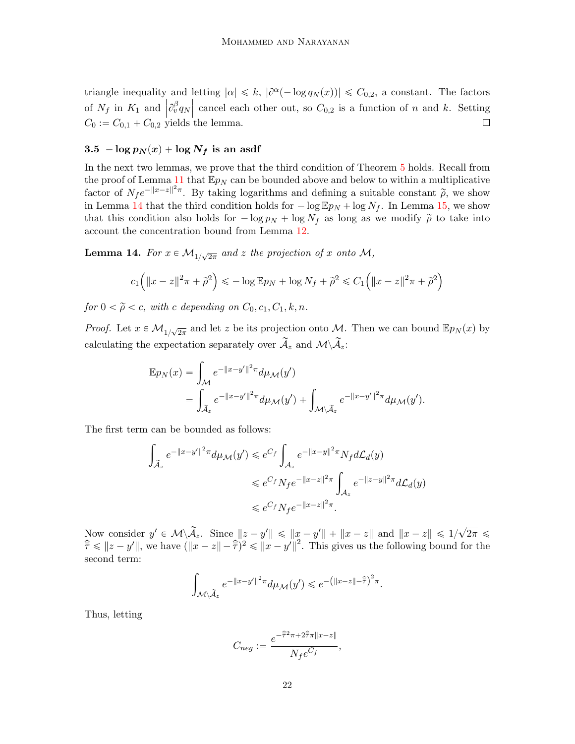triangle inequality and letting  $|\alpha| \leq k$ ,  $|\partial^{\alpha}(-\log q_N(x))| \leq C_{0,2}$ , a constant. The factors of  $N_f$  in  $K_1$  and  $\left|\partial_v^{\beta} q_N\right|$  cancel each other out, so  $C_{0,2}$  is a function of n and k. Setting  $C_0 := C_{0,1} + C_{0,2}$  yields the lemma.

# $3.5$   $- \log p_N(x) + \log N_f$  is an asdf

In the next two lemmas, we prove that the third condition of Theorem [5](#page-5-0) holds. Recall from the proof of Lemma [11](#page-12-0) that  $\mathbb{E}p_N$  can be bounded above and below to within a multiplicative factor of  $N_f e^{-\|x-z\|^2 \pi}$ . By taking logarithms and defining a suitable constant  $\tilde{\rho}$ , we show in Lemma [14](#page-21-0) that the third condition holds for  $-\log \mathbb{E} p_N + \log N_f$ . In Lemma [15,](#page-22-0) we show that this condition also holds for  $-\log p_N + \log N_f$  as long as we modify  $\tilde{\rho}$  to take into account the concentration bound from Lemma [12.](#page-15-0)

<span id="page-21-0"></span>**Lemma 14.** For  $x \in M_{1/\sqrt{2\pi}}$  and z the projection of x onto M,

$$
c_1(|x-z||^2\pi + \tilde{\rho}^2) \leq -\log \mathbb{E}p_N + \log N_f + \tilde{\rho}^2 \leq C_1(|x-z||^2\pi + \tilde{\rho}^2)
$$

for  $0 < \tilde{\rho} < c$ , with c depending on  $C_0, c_1, C_1, k, n$ .

*Proof.* Let  $x \in M_{1/\sqrt{2\pi}}$  and let z be its projection onto M. Then we can bound  $\mathbb{E}p_N(x)$  by calculating the expectation separately over  $\widetilde{\mathcal{A}}_z$  and  $\mathcal{M}\backslash\widetilde{\mathcal{A}}_z$ :

$$
\mathbb{E}p_N(x) = \int_{\mathcal{M}} e^{-\|x-y'\|^2 \pi} d\mu_{\mathcal{M}}(y')
$$
  
= 
$$
\int_{\widetilde{\mathcal{A}}_z} e^{-\|x-y'\|^2 \pi} d\mu_{\mathcal{M}}(y') + \int_{\mathcal{M} \backslash \widetilde{\mathcal{A}}_z} e^{-\|x-y'\|^2 \pi} d\mu_{\mathcal{M}}(y').
$$

The first term can be bounded as follows:

$$
\int_{\widetilde{\mathcal{A}}_z} e^{-\|x-y'\|^2 \pi} d\mu_{\mathcal{M}}(y') \leqslant e^{C_f} \int_{\mathcal{A}_z} e^{-\|x-y\|^2 \pi} N_f d\mathcal{L}_d(y)
$$
\n
$$
\leqslant e^{C_f} N_f e^{-\|x-z\|^2 \pi} \int_{\mathcal{A}_z} e^{-\|z-y\|^2 \pi} d\mathcal{L}_d(y)
$$
\n
$$
\leqslant e^{C_f} N_f e^{-\|x-z\|^2 \pi}.
$$

Now consider  $y' \in \mathcal{M} \setminus \widetilde{\mathcal{A}}_z$ . Since  $||z - y'|| \le ||x - y'|| + ||x - z||$  and  $||x - z|| \le 1/\sqrt{2}$  $2\pi \leq$  $\hat{\overline{\tau}} \leqslant ||z - y'||$ , we have  $(||\overline{x} - z|| - \hat{\overline{\tau}}||^2 \leqslant ||x - y'||^2$ . This gives us the following bound for the second term:

$$
\int_{\mathcal{M}\setminus\widetilde{\mathcal{A}}_z}e^{-\|x-y'\|^2\pi}d\mu_{\mathcal{M}}(y')\leqslant e^{-\left(\|x-z\|-\widehat{\widetilde{\tau}}\right)^2\pi}.
$$

Thus, letting

$$
C_{neg}:=\frac{e^{-\widehat{\overline{\tau}}^2\pi+2\widehat{\overline{\tau}}\pi\|x-z\|}}{N_f e^{C_f}},
$$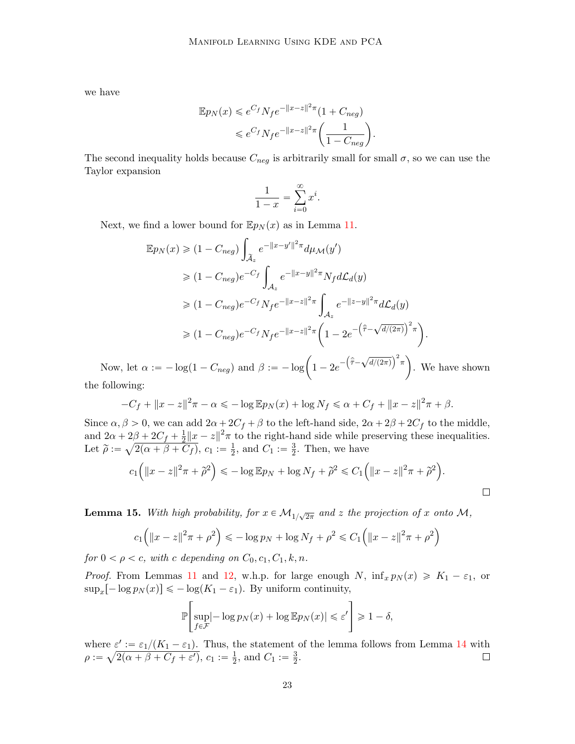we have

$$
\mathbb{E}p_N(x) \leqslant e^{C_f} N_f e^{-\|x-z\|^2 \pi} (1 + C_{neg})
$$
  

$$
\leqslant e^{C_f} N_f e^{-\|x-z\|^2 \pi} \left( \frac{1}{1 - C_{neg}} \right).
$$

The second inequality holds because  $C_{neg}$  is arbitrarily small for small  $\sigma$ , so we can use the Taylor expansion

$$
\frac{1}{1-x} = \sum_{i=0}^{\infty} x^i.
$$

Next, we find a lower bound for  $\mathbb{E}p_N(x)$  as in Lemma [11.](#page-12-0)

$$
\mathbb{E}p_N(x) \geq (1 - C_{neg}) \int_{\tilde{A}_z} e^{-||x - y'||^2 \pi} d\mu_{\mathcal{M}}(y')
$$
  
\n
$$
\geq (1 - C_{neg})e^{-C_f} \int_{\mathcal{A}_z} e^{-||x - y||^2 \pi} N_f d\mathcal{L}_d(y)
$$
  
\n
$$
\geq (1 - C_{neg})e^{-C_f} N_f e^{-||x - z||^2 \pi} \int_{\mathcal{A}_z} e^{-||z - y||^2 \pi} d\mathcal{L}_d(y)
$$
  
\n
$$
\geq (1 - C_{neg})e^{-C_f} N_f e^{-||x - z||^2 \pi} \left(1 - 2e^{-\left(\hat{\bar{\tau}} - \sqrt{d/(2\pi)}\right)^2 \pi}\right).
$$

Now, let  $\alpha := -\log(1 - C_{neg})$  and  $\beta := -\log\left(1 - 2e^{-\left(\hat{\tilde{\tau}} - \sqrt{d/(2\pi)}\right)^2 \pi}\right)$ . We have shown the following:

$$
-C_f + ||x - z||^2 \pi - \alpha \leq -\log \mathbb{E} p_N(x) + \log N_f \leq \alpha + C_f + ||x - z||^2 \pi + \beta.
$$

Since  $\alpha, \beta > 0$ , we can add  $2\alpha + 2C_f + \beta$  to the left-hand side,  $2\alpha + 2\beta + 2C_f$  to the middle, and  $2\alpha + 2\beta + 2C_f + \frac{1}{2}$  $\frac{1}{2}||x-z||^2\pi$  to the right-hand side while preserving these inequalities. Let  $\widetilde{\rho} :=$  $2/$  $2(\alpha + \beta + C_f), c_1 := \frac{1}{2}$  $\frac{1}{2}$ , and  $C_1 := \frac{3}{2}$  $\frac{3}{2}$ . Then, we have  $\begin{array}{ccccccccccccccccc}\n\diagup\diagdown\end{array}$ 

$$
c_1(|x-z||^2\pi + \tilde{\rho}^2) \leq -\log \mathbb{E}p_N + \log N_f + \tilde{\rho}^2 \leq C_1(|x-z||^2\pi + \tilde{\rho}^2).
$$

<span id="page-22-0"></span>**Lemma 15.** With high probability, for  $x \in M_{1/\sqrt{2\pi}}$  and z the projection of x onto M,

$$
c_1(|x - z||^2 \pi + \rho^2) \le -\log p_N + \log N_f + \rho^2 \le C_1(|x - z||^2 \pi + \rho^2)
$$

for  $0 < \rho < c$ , with c depending on  $C_0, c_1, C_1, k, n$ .

*Proof.* From Lemmas [11](#page-12-0) and [12,](#page-15-0) w.h.p. for large enough N,  $\inf_x p_N(x) \ge K_1 - \varepsilon_1$ , or  $\sup_x[-\log p_N(x)] \leq -\log(K_1 - \varepsilon_1)$ . By uniform continuity,

$$
\mathbb{P}\left[\sup_{f \in \mathcal{F}} \left| -\log p_N(x) + \log \mathbb{E} p_N(x) \right| \leq \varepsilon' \right] \geq 1 - \delta,
$$

where  $\varepsilon' := \varepsilon_1/(K_1 - \varepsilon_1)$ . Thus, the statement of the lemma follows from Lemma [14](#page-21-0) with  $\rho :=$  $e<sub>6</sub>$  $2(\alpha + \beta + C_f + \varepsilon'), c_1 := \frac{1}{2}$  $\frac{1}{2}$ , and  $C_1 := \frac{3}{2}$  $\frac{3}{2}$ .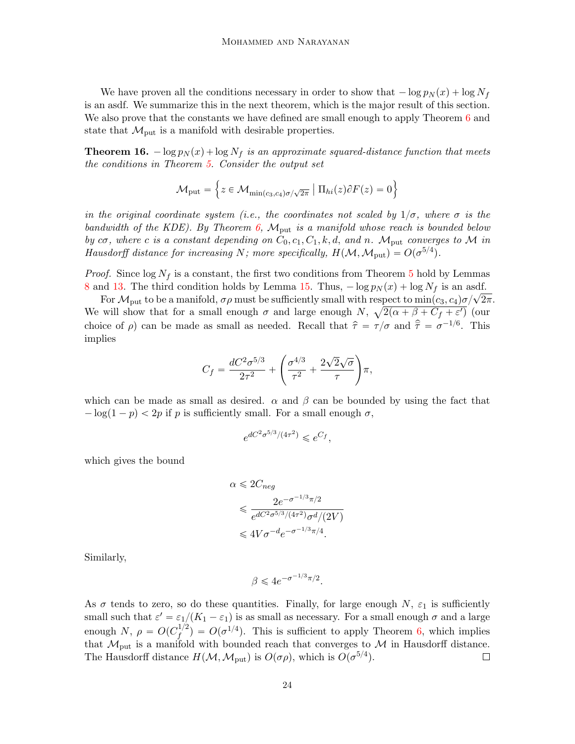We have proven all the conditions necessary in order to show that  $-\log p_N(x) + \log N_f$ is an asdf. We summarize this in the next theorem, which is the major result of this section. We also prove that the constants we have defined are small enough to apply Theorem [6](#page-5-1) and state that  $\mathcal{M}_{\text{put}}$  is a manifold with desirable properties.

<span id="page-23-0"></span>**Theorem 16.**  $-\log p_N(x) + \log N_f$  is an approximate squared-distance function that meets the conditions in Theorem [5.](#page-5-0) Consider the output set

$$
\mathcal{M}_{\text{put}} = \left\{ z \in \mathcal{M}_{\min(c_3, c_4)\sigma/\sqrt{2\pi}} \mid \Pi_{hi}(z)\partial F(z) = 0 \right\}
$$

in the original coordinate system (i.e., the coordinates not scaled by  $1/\sigma$ , where  $\sigma$  is the bandwidth of the KDE). By Theorem  $6$ ,  $\mathcal{M}_{\text{put}}$  is a manifold whose reach is bounded below by  $c\sigma$ , where c is a constant depending on  $C_0$ ,  $c_1$ ,  $C_1$ ,  $k$ ,  $d$ , and n.  $\mathcal{M}_{\text{put}}$  converges to  $\mathcal M$  in Hausdorff distance for increasing N; more specifically,  $H(M, \mathcal{M}_{\text{put}}) = O(\sigma^{5/4}).$ 

*Proof.* Since  $\log N_f$  is a constant, the first two conditions from Theorem [5](#page-5-0) hold by Lemmas [8](#page-8-1) and [13.](#page-17-0) The third condition holds by Lemma [15.](#page-22-0) Thus,  $-\log p_N(x) + \log N_f$  is an asdf.

For  $\mathcal{M}_{\text{put}}$  to be a manifold,  $\sigma\rho$  must be sufficiently small with respect to  $\min(c_3, c_4)\sigma/\sqrt{2\pi}$ . We will show that for a small enough  $\sigma$  and large enough N,  $\sqrt{2(\alpha + \beta + C_f + \varepsilon')}$  (our choice of  $\rho$ ) can be made as small as needed. Recall that  $\hat{\tau} = \tau / \sigma$  and  $\hat{\bar{\tau}} = \sigma^{-1/6}$ . This implies

$$
C_f = \frac{dC^2 \sigma^{5/3}}{2\tau^2} + \left(\frac{\sigma^{4/3}}{\tau^2} + \frac{2\sqrt{2}\sqrt{\sigma}}{\tau}\right)\pi,
$$

which can be made as small as desired.  $\alpha$  and  $\beta$  can be bounded by using the fact that  $-\log(1 - p) < 2p$  if p is sufficiently small. For a small enough  $\sigma$ ,

$$
e^{dC^2\sigma^{5/3}/(4\tau^2)} \leqslant e^{C_f},
$$

which gives the bound

$$
\alpha \leq 2C_{neg}
$$
  
\n
$$
\leq \frac{2e^{-\sigma^{-1/3}\pi/2}}{e^{dC^2\sigma^{5/3}/(4\tau^2)}\sigma^d/(2V)}
$$
  
\n
$$
\leq 4V\sigma^{-d}e^{-\sigma^{-1/3}\pi/4}.
$$

Similarly,

$$
\beta \leqslant 4e^{-\sigma^{-1/3}\pi/2}.
$$

As  $\sigma$  tends to zero, so do these quantities. Finally, for large enough N,  $\varepsilon_1$  is sufficiently small such that  $\varepsilon' = \varepsilon_1/(K_1 - \varepsilon_1)$  is as small as necessary. For a small enough  $\sigma$  and a large enough N,  $\rho = O(C_f^{1/2})$  $f_f^{1/2}$ ) =  $O(\sigma^{1/4})$ . This is sufficient to apply Theorem [6,](#page-5-1) which implies that  $\mathcal{M}_{\text{put}}$  is a manifold with bounded reach that converges to  $\mathcal{M}$  in Hausdorff distance. The Hausdorff distance  $H(M, \mathcal{M}_{\text{put}})$  is  $O(\sigma \rho)$ , which is  $O(\sigma^{5/4})$ .  $\Box$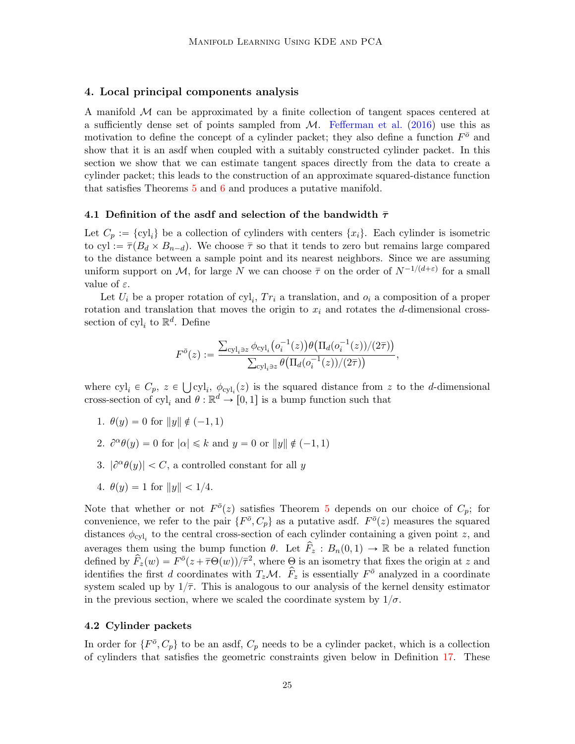### <span id="page-24-0"></span>4. Local principal components analysis

A manifold  $\mathcal M$  can be approximated by a finite collection of tangent spaces centered at a sufficiently dense set of points sampled from  $M$ . [Fefferman et al.](#page-34-0) [\(2016\)](#page-34-0) use this as motivation to define the concept of a cylinder packet; they also define a function  $F^{\bar{o}}$  and show that it is an asdf when coupled with a suitably constructed cylinder packet. In this section we show that we can estimate tangent spaces directly from the data to create a cylinder packet; this leads to the construction of an approximate squared-distance function that satisfies Theorems [5](#page-5-0) and [6](#page-5-1) and produces a putative manifold.

#### 4.1 Definition of the asdf and selection of the bandwidth  $\bar{\tau}$

Let  $C_p := \{cyl_i\}$  be a collection of cylinders with centers  $\{x_i\}$ . Each cylinder is isometric to cyl :=  $\overline{\tau}(B_d \times B_{n-d})$ . We choose  $\overline{\tau}$  so that it tends to zero but remains large compared to the distance between a sample point and its nearest neighbors. Since we are assuming uniform support on M, for large N we can choose  $\bar{\tau}$  on the order of  $N^{-1/(d+\varepsilon)}$  for a small value of  $\varepsilon$ .

Let  $U_i$  be a proper rotation of  $cyl_i$ ,  $Tr_i$  a translation, and  $o_i$  a composition of a proper rotation and translation that moves the origin to  $x_i$  and rotates the d-dimensional crosssection of  $cyl_i$  to  $\mathbb{R}^d$ . Define

$$
F^{\bar{o}}(z) := \frac{\sum_{\text{cyl}_i \ni z} \phi_{\text{cyl}_i}(o_i^{-1}(z)) \theta(\Pi_d(o_i^{-1}(z))/(2\bar{\tau}))}{\sum_{\text{cyl}_i \ni z} \theta(\Pi_d(o_i^{-1}(z))/(2\bar{\tau}))},
$$

where  $cyl_i \in C_p$ ,  $z \in \bigcup cyl_i$ ,  $\phi_{cyl_i}(z)$  is the squared distance from z to the d-dimensional cross-section of  $cyl_i$  and  $\theta : \mathbb{R}^d \to [0, 1]$  is a bump function such that

- 1.  $\theta(y) = 0$  for  $||y|| \notin (-1, 1)$
- 2.  $\partial^{\alpha} \theta(y) = 0$  for  $|\alpha| \le k$  and  $y = 0$  or  $||y|| \notin (-1, 1)$
- 3.  $|\partial^{\alpha} \theta(y)| < C$ , a controlled constant for all y
- 4.  $\theta(y) = 1$  for  $||y|| < 1/4$ .

Note that whether or not  $F^{\bar{o}}(z)$  satisfies Theorem [5](#page-5-0) depends on our choice of  $C_p$ ; for convenience, we refer to the pair  $\{F^{\bar{o}}, C_p\}$  as a putative asdf.  $F^{\bar{o}}(z)$  measures the squared distances  $\phi_{cyl_i}$  to the central cross-section of each cylinder containing a given point z, and averages them using the bump function  $\theta$ . Let  $\hat{F}_z : B_n(0, 1) \to \mathbb{R}$  be a related function defined by  $\hat{F}_z(w) = F^{\bar{\sigma}}(z + \bar{\tau} \Theta(w))/\bar{\tau}^2$ , where  $\Theta$  is an isometry that fixes the origin at z and identifies the first d coordinates with  $T_zM$ .  $\hat{F}_z$  is essentially  $F^{\bar{\sigma}}$  analyzed in a coordinate system scaled up by  $1/\overline{\tau}$ . This is analogous to our analysis of the kernel density estimator in the previous section, where we scaled the coordinate system by  $1/\sigma$ .

# 4.2 Cylinder packets

In order for  $\{F^{\bar o}, C_p\}$  to be an asdf,  $C_p$  needs to be a cylinder packet, which is a collection of cylinders that satisfies the geometric constraints given below in Definition [17.](#page-25-0) These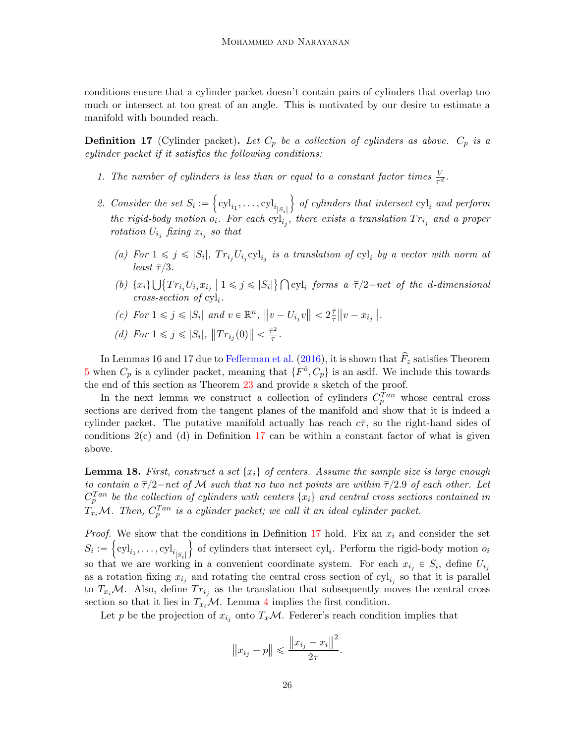conditions ensure that a cylinder packet doesn't contain pairs of cylinders that overlap too much or intersect at too great of an angle. This is motivated by our desire to estimate a manifold with bounded reach.

<span id="page-25-0"></span>**Definition 17** (Cylinder packet). Let  $C_p$  be a collection of cylinders as above.  $C_p$  is a cylinder packet if it satisfies the following conditions:

- 1. The number of cylinders is less than or equal to a constant factor times  $\frac{V}{\tau^d}$ .
- 2. Consider the set  $S_i :=$  $\mathrm{cyl}_{i_1}, \ldots, \mathrm{cyl}_{i_{|S_i|}}$ of cylinders that intersect  $cyl_i$  and perform the rigid-body motion  $o_i$ . For each  $cyl_{i_j}$ , there exists a translation  $Tr_{i_j}$  and a proper rotation  $U_{i_j}$  fixing  $x_{i_j}$  so that

 $\mathbf{r}$ 

- (a) For  $1 \leq j \leq |S_i|$ ,  $Tr_{i_j}U_{i_j}$ cyl<sub>ij</sub> is a translation of cyl<sub>i</sub> by a vector with norm at least  $\bar{\tau}/3$ .  $\frac{1}{2}$  $\mathbb{R}$
- (b)  $\{x_i\}$  $Tr_{i_j} U_{i_j} x_{i_j} | 1 \leqslant j \leqslant |S_i|$ cyl<sub>i</sub> forms a  $\bar{\tau}/2$ -net of the d-dimensional  $cross-section of cyl<sub>i</sub>.$
- (c) For  $1 \leq j \leq |S_i|$  and  $v \in \mathbb{R}^n$ ,  $||v U_{i_j}v|| < 2\frac{\bar{\tau}}{\tau}$  $\frac{\bar{\tau}}{\tau}$ ||v –  $x_{i_j}$ ||.

(d) For 
$$
1 \le j \le |S_i|
$$
,  $||Tr_{i_j}(0)|| < \frac{\bar{\tau}^2}{\tau}$ 

!<br>!

In Lemmas 16 and 17 due to [Fefferman et al.](#page-34-0) [\(2016\)](#page-34-0), it is shown that  $\hat{F}_z$  satisfies Theorem [5](#page-5-0) when  $C_p$  is a cylinder packet, meaning that  $\{F^{\bar{o}}, C_p\}$  is an asdf. We include this towards the end of this section as Theorem [23](#page-30-0) and provide a sketch of the proof.

.

In the next lemma we construct a collection of cylinders  $C_p^{Tan}$  whose central cross sections are derived from the tangent planes of the manifold and show that it is indeed a cylinder packet. The putative manifold actually has reach  $c\bar{\tau}$ , so the right-hand sides of conditions  $2(c)$  and (d) in Definition [17](#page-25-0) can be within a constant factor of what is given above.

<span id="page-25-1"></span>**Lemma 18.** First, construct a set  $\{x_i\}$  of centers. Assume the sample size is large enough to contain a  $\bar{\tau}/2$ -net of M such that no two net points are within  $\bar{\tau}/2.9$  of each other. Let  $C_p^{Tan}$  be the collection of cylinders with centers  $\{x_i\}$  and central cross sections contained in  $T_{x_i}$ M. Then,  $C_p^{Tan}$  is a cylinder packet; we call it an ideal cylinder packet.

*Proof.* We show that the conditions in Definition [17](#page-25-0) hold. Fix an  $x_i$  and consider the set  $S_i := \left\{ \text{cyl}_{i_1}, \dots, \text{cyl}_{i_{|S_i|}} \right\}$  of cylinders that intersect  $\text{cyl}_i$ . Perform the rigid-body motion  $o_i$ so that we are working in a convenient coordinate system. For each  $x_{i_j} \in S_i$ , define  $U_{i_j}$ as a rotation fixing  $x_{i_j}$  and rotating the central cross section of  $cyl_{i_j}$  so that it is parallel to  $T_{x_i}$ M. Also, define  $Tr_{i_j}$  as the translation that subsequently moves the central cross section so that it lies in  $T_{x_i}M$ . Lemma [4](#page-4-2) implies the first condition.

Let p be the projection of  $x_{i_j}$  onto  $T_x\mathcal{M}$ . Federer's reach condition implies that

$$
||x_{i_j} - p|| \le \frac{||x_{i_j} - x_i||^2}{2\tau}
$$

.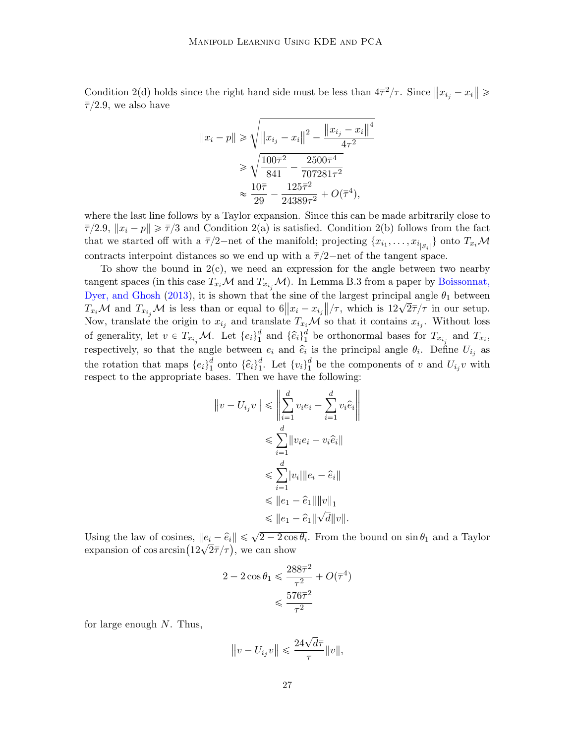Condition 2(d) holds since the right hand side must be less than  $4\bar{\tau}^2/\tau$ . Since  $||x_{i_j} - x_i|| \ge$  $\overline{\tau}/2.9$ , we also have de la construcción de la construcción de la construcción de la construcción de la construcción de la construcc

$$
||x_i - p|| \ge \sqrt{||x_{i_j} - x_i||^2 - \frac{||x_{i_j} - x_i||^4}{4\tau^2}} \ge \sqrt{\frac{100\overline{\tau}^2}{841} - \frac{2500\overline{\tau}^4}{707281\tau^2}} \approx \frac{10\overline{\tau}}{29} - \frac{125\overline{\tau}^2}{24389\tau^2} + O(\overline{\tau}^4),
$$

where the last line follows by a Taylor expansion. Since this can be made arbitrarily close to  $\overline{\tau}/2.9$ ,  $||x_i - p|| \ge \overline{\tau}/3$  and Condition 2(a) is satisfied. Condition 2(b) follows from the fact that we started off with a  $\bar{\tau}/2$ -net of the manifold; projecting  $\{x_{i_1}, \ldots, x_{i_{|S_i|}}\}$  onto  $T_{x_i}M$ contracts interpoint distances so we end up with a  $\bar{\tau}/2$ —net of the tangent space.

To show the bound in  $2(c)$ , we need an expression for the angle between two nearby tangent spaces (in this case  $T_{x_i}M$  and  $T_{x_{i_j}}M$ ). In Lemma B.3 from a paper by [Boissonnat,](#page-34-16) [Dyer, and Ghosh](#page-34-16) [\(2013\)](#page-34-16), it is shown that the sine of the largest principal angle  $\theta_1$  between Dyer, and Ghosh (2015), it is shown that the sine of the largest principal angle  $v_1$  between  $T_{x_i}$   $M$  and  $T_{x_{i_j}}$   $M$  is less than or equal to  $6||x_i - x_{i_j}||/\tau$ , which is  $12\sqrt{2}\overline{\tau}/\tau$  in our setup. Now, translate the origin to  $x_{i_j}$  and translate  $T_{x_i} \mathcal{M}$  so that it contains  $x_{i_j}$ . Without loss of generality, let  $v \in T_{x_{i_j}}\mathcal{M}$ . Let  $\{e_i\}_{1}^d$  $\begin{bmatrix} d \\ 1 \end{bmatrix}$  and  $\{\hat{e}_i\}_1^d$ <sup>d</sup> be orthonormal bases for  $T_{x_{i_j}}$  and  $T_{x_i}$ , respectively, so that the angle between  $e_i$  and  $\hat{e}_i$  is the principal angle  $\theta_i$ . Define  $U_{i_j}$  as the rotation that maps  $\{e_i\}_1^d$  $\begin{smallmatrix} d & \text{onto} & \{\widehat{e}_i\}^d_1 \end{smallmatrix}$  $i_{1}^{d}$ . Let  $\{v_{i}\}_{1}^{d}$  $\frac{a}{1}$  be the components of v and  $U_{i_j}v$  with respect to the appropriate bases. Then we have the following:

$$
||v - U_{i_j}v|| \leq \left\| \sum_{i=1}^d v_i e_i - \sum_{i=1}^d v_i \hat{e}_i \right\|
$$
  

$$
\leq \sum_{i=1}^d ||v_i e_i - v_i \hat{e}_i||
$$
  

$$
\leq \sum_{i=1}^d |v_i| ||e_i - \hat{e}_i||
$$
  

$$
\leq ||e_1 - \hat{e}_1|| ||v||_1
$$
  

$$
\leq ||e_1 - \hat{e}_1|| \sqrt{d} ||v||.
$$

Using the law of cosines,  $||e_i - \hat{e}_i|| \le \sqrt{2 - 2\cos\theta_i}$ . From the bound on  $\sin\theta_1$  and a Taylor Using the law of cosines,  $||e_i - \hat{e}_i|| \le \sqrt{2} - 2\cos \theta$ <br>expansion of  $\cos \arcsin(12\sqrt{2}\bar{\tau}/\tau)$ , we can show

$$
2 - 2\cos\theta_1 \leqslant \frac{288\overline{\tau}^2}{\tau^2} + O(\overline{\tau}^4)
$$

$$
\leqslant \frac{576\overline{\tau}^2}{\tau^2}
$$

for large enough  $N$ . Thus,

$$
||v - U_{i_j}v|| \leqslant \frac{24\sqrt{d}\bar{\tau}}{\tau}||v||,
$$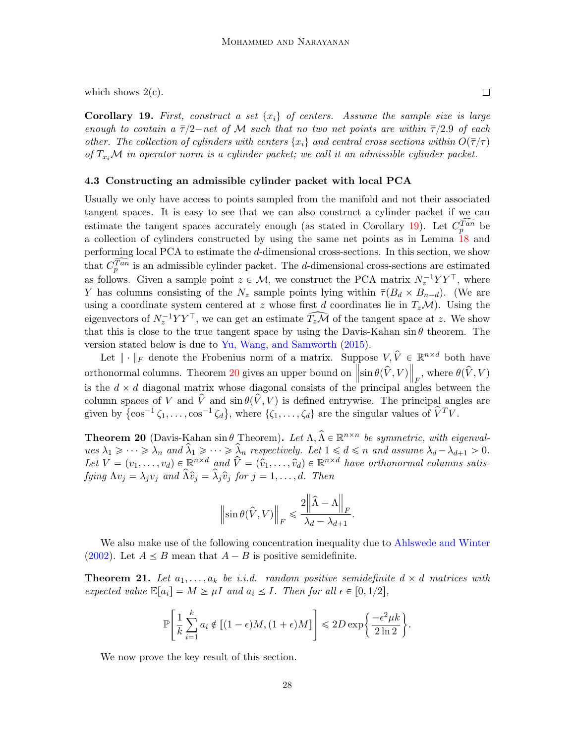which shows  $2(c)$ .

<span id="page-27-0"></span>**Corollary 19.** First, construct a set  $\{x_i\}$  of centers. Assume the sample size is large enough to contain a  $\bar{\tau}/2$ -net of M such that no two net points are within  $\bar{\tau}/2.9$  of each other. The collection of cylinders with centers  $\{x_i\}$  and central cross sections within  $O(\overline{\tau}/\tau)$ of  $T_{x_i}\mathcal{M}$  in operator norm is a cylinder packet; we call it an admissible cylinder packet.

#### 4.3 Constructing an admissible cylinder packet with local PCA

Usually we only have access to points sampled from the manifold and not their associated tangent spaces. It is easy to see that we can also construct a cylinder packet if we can estimate the tangent spaces accurately enough (as stated in Corollary [19\)](#page-27-0). Let  $C_p^{\widehat{Tan}}$  be a collection of cylinders constructed by using the same net points as in Lemma [18](#page-25-1) and performing local PCA to estimate the d-dimensional cross-sections. In this section, we show that  $\widehat{C_p^{Tan}}$  is an admissible cylinder packet. The d-dimensional cross-sections are estimated as follows. Given a sample point  $z \in \mathcal{M}$ , we construct the PCA matrix  $N_z^{-1}YY^{\top}$ , where Y has columns consisting of the  $N_z$  sample points lying within  $\overline{\tau}(B_d \times B_{n-d})$ . (We are using a coordinate system centered at z whose first d coordinates lie in  $T_z\mathcal{M}$ ). Using the eigenvectors of  $N_z^{-1}YY^{\top}$ , we can get an estimate  $\widehat{T_zM}$  of the tangent space at z. We show that this is close to the true tangent space by using the Davis-Kahan  $\sin \theta$  theorem. The version stated below is due to [Yu, Wang, and Samworth](#page-35-2) [\(2015\)](#page-35-2).

Let  $\|\cdot\|_F$  denote the Frobenius norm of a matrix. Suppose  $V, \hat{V} \in \mathbb{R}^{n \times d}$  both have orthonormal columns. Theorem [20](#page-27-1) gives an upper bound on  $\left\|\sin \theta(\hat{V}, V)\right\|_F$ , where  $\theta(\hat{V}, V)$ is the  $d \times d$  diagonal matrix whose diagonal consists of the principal angles between the column spaces of V and  $\hat{V}$  and  $\hat{S}$  and  $\hat{\theta}$  ( $\hat{V}$ , V) is defined entrywise. The principal angles are column spaces of V and V and  $\sin \theta(V, V)$  is defined entrywise. The principal ang<br>given by  $\{\cos^{-1} \zeta_1, \dots, \cos^{-1} \zeta_d\}$ , where  $\{\zeta_1, \dots, \zeta_d\}$  are the singular values of  $\hat{V}^T V$ .

<span id="page-27-1"></span>**Theorem 20** (Davis-Kahan sin  $\theta$  Theorem). Let  $\Lambda$ ,  $\hat{\Lambda} \in \mathbb{R}^{n \times n}$  be symmetric, with eigenval $u_{es} \lambda_1 \geq \cdots \geq \lambda_n$  and  $\hat{\lambda}_1 \geq \cdots \geq \hat{\lambda}_n$  respectively. Let  $1 \leq d \leq n$  and assume  $\lambda_d - \lambda_{d+1} > 0$ . Let  $V = (v_1, \ldots, v_d) \in \mathbb{R}^{n \times d}$  and  $\hat{V} = (\hat{v}_1, \ldots, \hat{v}_d) \in \mathbb{R}^{n \times d}$  have orthonormal columns satisfying  $\Lambda v_i = \lambda_i v_i$  and  $\widehat{\Lambda} \widehat{v}_i = \widehat{\lambda}_i \widehat{v}_i$  for  $j = 1, ..., d$ . Then

$$
\left\|\sin\theta(\hat{V},V)\right\|_F\leqslant\frac{2\left\|\hat{\Lambda}-\Lambda\right\|_F}{\lambda_d-\lambda_{d+1}}.
$$

We also make use of the following concentration inequality due to [Ahlswede and Winter](#page-32-1) [\(2002\)](#page-32-1). Let  $A \leq B$  mean that  $A - B$  is positive semidefinite.

<span id="page-27-2"></span>**Theorem 21.** Let  $a_1, \ldots, a_k$  be i.i.d. random positive semidefinite  $d \times d$  matrices with expected value  $\mathbb{E}[a_i] = M \ge \mu I$  and  $a_i \le I$ . Then for all  $\epsilon \in [0, 1/2]$ ,

$$
\mathbb{P}\Bigg[\frac{1}{k}\sum_{i=1}^k a_i \notin \big[(1-\epsilon)M, (1+\epsilon)M\big]\Bigg] \leq 2D\exp\Bigg\{\frac{-\epsilon^2\mu k}{2\ln 2}\Bigg\}.
$$

We now prove the key result of this section.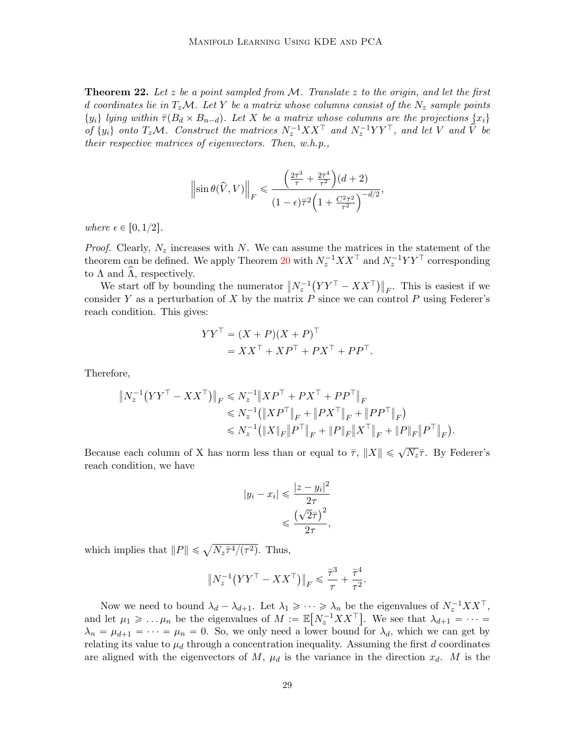<span id="page-28-0"></span>**Theorem 22.** Let  $z$  be a point sampled from  $M$ . Translate  $z$  to the origin, and let the first d coordinates lie in  $T_z\mathcal{M}$ . Let Y be a matrix whose columns consist of the  $N_z$  sample points  $\{y_i\}$  lying within  $\overline{\tau}(B_d \times B_{n-d})$ . Let X be a matrix whose columns are the projections  $\{x_i\}$ of  $\{y_i\}$  onto  $T_zM$ . Construct the matrices  $N_z^{-1}XX^\top$  and  $N_z^{-1}YY^\top$ , and let V and  $\hat{V}$  be their respective matrices of eigenvectors. Then, w.h.p.,

$$
\left\|\sin\theta(\widehat{V},V)\right\|_F \leq \frac{\left(\frac{2\bar{\tau}^3}{\tau} + \frac{2\bar{\tau}^4}{\tau^2}\right)(d+2)}{(1-\epsilon)\bar{\tau}^2\left(1 + \frac{C^2\bar{\tau}^2}{\tau^2}\right)^{-d/2}},
$$

where  $\epsilon \in [0, 1/2]$ .

*Proof.* Clearly,  $N_z$  increases with N. We can assume the matrices in the statement of the theorem can be defined. We apply Theorem [20](#page-27-1) with  $N_z^{-1}XX^\top$  and  $N_z^{-1}YY^\top$  corresponding to  $\Lambda$  and  $\Lambda$ , respectively.  $\frac{1}{2}$ 

We start off by bounding the numerator  $||N_z^{-1}$  $YY^\top - XX^\top$  $F$ . This is easiest if we consider Y as a perturbation of X by the matrix  $P$  since we can control P using Federer's reach condition. This gives:

$$
YYT = (X + P)(X + P)T
$$
  
= 
$$
XXT + XPT + PXT + PPT.
$$

Therefore,

$$
\label{eq:20} \begin{split} \left\| N_z^{-1} \big( Y Y^\top - X X^\top \big) \right\|_F &\leqslant N_z^{-1} \big\| X P^\top + P X^\top + P P^\top \big\|_F \\ &\leqslant N_z^{-1} \big( \big\| X P^\top \big\|_F + \big\| P X^\top \big\|_F + \big\| P P^\top \big\|_F \big) \\ &\leqslant N_z^{-1} \big( \big\| X\|_F \big\| P^\top \big\|_F + \| P\|_F \big\| X^\top \big\|_F + \| P\|_F \big\| P^\top \big\|_F \big). \end{split}
$$

Because each column of X has norm less than or equal to  $\bar{\tau}$ ,  $||X|| \leq \sqrt{N_z}\bar{\tau}$ . By Federer's reach condition, we have

$$
|y_i - x_i| \leqslant \frac{|z - y_i|^2}{2\tau}
$$

$$
\leqslant \frac{\left(\sqrt{2}\overline{\tau}\right)^2}{2\tau},
$$

which implies that  $||P|| \leq$  $\sqrt{N_z \overline{\tau}^4/(\tau^2)}$ . Thus,

$$
\left\|N_z^{-1} \big(YY^\top - XX^\top \big) \right\|_F \leqslant \frac{\bar{\tau}^3}{\tau} + \frac{\bar{\tau}^4}{\tau^2}.
$$

Now we need to bound  $\lambda_d - \lambda_{d+1}$ . Let  $\lambda_1 \geqslant \cdots \geqslant \lambda_n$  be the eigenvalues of  $N_z^{-1}XX^\top$ , and let  $\mu_1 \geqslant \ldots \mu_n$  be the eigenvalues of  $M := \mathbb{E}\big[N_z^{-1}XX^\top\big]$ . We see that  $\lambda_{d+1} = \cdots =$  $\lambda_n = \mu_{d+1} = \cdots = \mu_n = 0$ . So, we only need a lower bound for  $\lambda_d$ , which we can get by relating its value to  $\mu_d$  through a concentration inequality. Assuming the first d coordinates are aligned with the eigenvectors of M,  $\mu_d$  is the variance in the direction  $x_d$ . M is the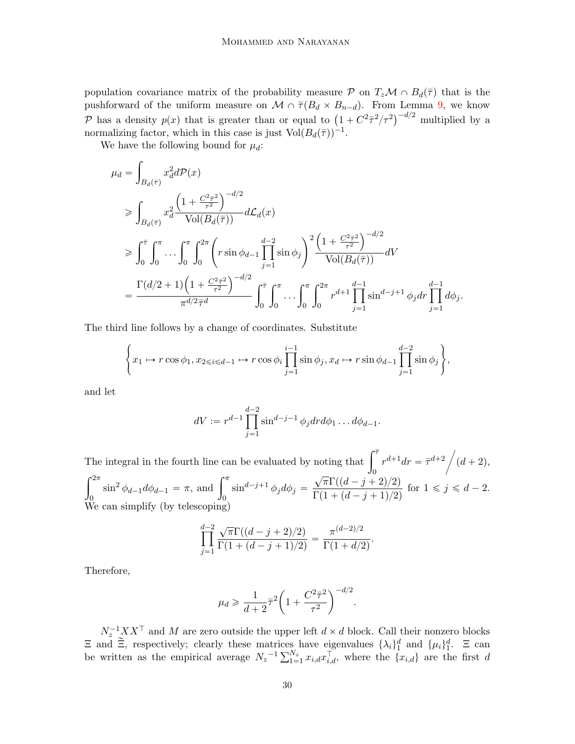population covariance matrix of the probability measure P on  $T_z \mathcal{M} \cap B_d(\overline{\tau})$  that is the pushforward of the uniform measure on  $\mathcal{M} \cap \overline{\tau}(B_d \times B_{n-d})$ . From Lemma [9,](#page-9-0) we know pushforward of the uniform measure on  $\mathcal{M} \cap \tau (B_d \times B_{n-d})$ . From Lemma 9, we know<br>  $\mathcal{P}$  has a density  $p(x)$  that is greater than or equal to  $\left(1 + C^2 \bar{\tau}^2 / \tau^2\right)^{-d/2}$  multiplied by a normalizing factor, which in this case is just  $Vol(B_d(\bar{\tau}))^{-1}$ .

We have the following bound for  $\mu_d$ :

$$
\mu_{d} = \int_{B_{d}(\bar{\tau})} x_{d}^{2} d\mathcal{P}(x)
$$
\n
$$
\geq \int_{B_{d}(\bar{\tau})} x_{d}^{2} \frac{\left(1 + \frac{C^{2} \bar{\tau}^{2}}{\tau^{2}}\right)^{-d/2}}{\text{Vol}(B_{d}(\bar{\tau}))} d\mathcal{L}_{d}(x)
$$
\n
$$
\geq \int_{0}^{\bar{\tau}} \int_{0}^{\pi} \dots \int_{0}^{\pi} \int_{0}^{2\pi} \left(r \sin \phi_{d-1} \prod_{j=1}^{d-2} \sin \phi_{j}\right)^{2} \frac{\left(1 + \frac{C^{2} \bar{\tau}^{2}}{\tau^{2}}\right)^{-d/2}}{\text{Vol}(B_{d}(\bar{\tau}))} dV
$$
\n
$$
= \frac{\Gamma(d/2 + 1) \left(1 + \frac{C^{2} \bar{\tau}^{2}}{\tau^{2}}\right)^{-d/2}}{\pi^{d/2} \bar{\tau}^{d}} \int_{0}^{\bar{\tau}} \int_{0}^{\pi} \dots \int_{0}^{\pi} \int_{0}^{2\pi} r^{d+1} \prod_{j=1}^{d-1} \sin^{d-j+1} \phi_{j} dr \prod_{j=1}^{d-1} d\phi_{j}.
$$

The third line follows by a change of coordinates. Substitute

$$
\left\{x_1 \mapsto r\cos\phi_1, x_{2\leq i \leq d-1} \mapsto r\cos\phi_i \prod_{j=1}^{i-1} \sin\phi_j, x_d \mapsto r\sin\phi_{d-1} \prod_{j=1}^{d-2} \sin\phi_j\right\},\right\}
$$

and let

$$
dV := r^{d-1} \prod_{j=1}^{d-2} \sin^{d-j-1} \phi_j dr d\phi_1 \dots d\phi_{d-1}.
$$

The integral in the fourth line can be evaluated by noting that  $\int_{0}^{\overline{\tau}} r^{d+1} dr = \overline{\tau}^{d+2}$  $\int_0^{2\pi}$   $\int_0^{\pi}$   $\sqrt{\pi} \Gamma((d \quad i \mid$  $(d + 2),$  $\int_0^{2\pi} \sin^2 \phi_{d-1} d\phi_{d-1} = \pi$ , and  $\int_0^{\pi}$  $\sin^{d-j+1} \phi_j d\phi_j =$  $\sqrt{\pi}\Gamma((d-j+2)/2)$  $\frac{\sqrt{n_1(n_2-j+2)/2}}{\Gamma(1+(d-j+1)/2)}$  for  $1 \leq j \leq d-2$ . We can simplify (by telescoping)

$$
\prod_{j=1}^{d-2} \frac{\sqrt{\pi} \Gamma((d-j+2)/2)}{\Gamma(1+(d-j+1)/2)} = \frac{\pi^{(d-2)/2}}{\Gamma(1+d/2)}.
$$

Therefore,

$$
\mu_d \ge \frac{1}{d+2} \overline{\tau}^2 \left( 1 + \frac{C^2 \overline{\tau}^2}{\tau^2} \right)^{-d/2}.
$$

 $N_z^{-1} X X^{\top}$  and M are zero outside the upper left  $d \times d$  block. Call their nonzero blocks  $\Xi$  and  $\widetilde{\Xi}$ , respectively; clearly these matrices have eigenvalues  $\{\lambda_i\}_1^d$  and  $\{\mu_i\}_1^d$ .  $\Xi$  can  $\Xi$  and  $\Xi$ , respectively; clearly these matrices have eigenvalues  $\{\lambda_i\}_{1}^{\alpha}$  and  $\{\mu_i\}_{1}^{\alpha}$ .  $\Xi$  can<br>be written as the empirical average  $N_z^{-1} \sum_{1=1}^{N_z} x_{i,d} x_{i,d}^{\top}$ , where the  $\{x_{i,d}\}$  are the first d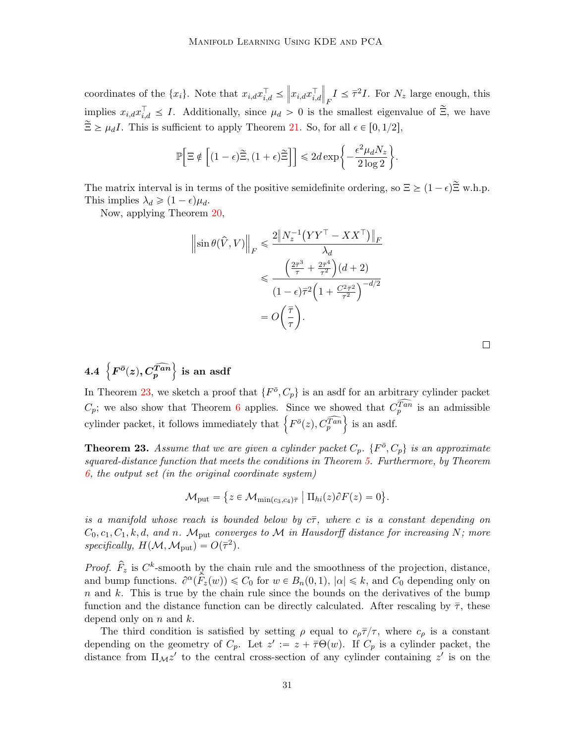coordinates of the  $\{x_i\}$ . Note that  $x_{i,d}x_{i,d}^{\top} \leq$  $\Vert x_{i,d}x_{i,d}^{\top}$  $\Big\|$  $I \leq \bar{\tau}^2 I$ . For  $N_z$  large enough, this implies  $x_{i,d} x_{i,d}^{\top} \leq I$ . Additionally, since  $\mu_d > 0$  is the smallest eigenvalue of  $\tilde{\Xi}$ , we have  $\widetilde{\Xi} \geq \mu_d I$ . This is sufficient to apply Theorem [21.](#page-27-2) So, for all  $\epsilon \in [0, 1/2]$ .

$$
\mathbb{P}\Big[\Xi \notin \Big[(1-\epsilon)\widetilde{\Xi}, (1+\epsilon)\widetilde{\Xi}\Big]\Big] \leq 2d\exp\bigg\{-\frac{\epsilon^2\mu_dN_z}{2\log 2}\bigg\}.
$$

The matrix interval is in terms of the positive semidefinite ordering, so  $\Xi \geq (1 - \epsilon) \tilde{\Xi}$  w.h.p. This implies  $\lambda_d \geqslant (1 - \epsilon) \mu_d$ .

Now, applying Theorem [20,](#page-27-1)

$$
\|\sin \theta(\hat{V}, V)\|_{F} \leq \frac{2\|N_{z}^{-1}(YY^{\top} - XX^{\top})\|_{F}}{\lambda_{d}}
$$

$$
\leq \frac{\left(\frac{2\bar{\tau}^{3}}{\tau} + \frac{2\bar{\tau}^{4}}{\tau^{2}}\right)(d+2)}{(1 - \epsilon)\bar{\tau}^{2}\left(1 + \frac{C^{2} \bar{\tau}^{2}}{\tau^{2}}\right)^{-d/2}}
$$

$$
= O\left(\frac{\bar{\tau}}{\tau}\right).
$$

 $4.4\ \left\{ F^{\bar o}(z), C_p^{\widehat{Tan}}\right.$ ) is an asdf

In Theorem [23,](#page-30-0) we sketch a proof that  $\{F^{\bar{o}}, C_p\}$  is an asdf for an arbitrary cylinder packet  $C_p$ ; we also show that Theorem [6](#page-5-1) applies. Since we showed that  $C_p^{\widehat{Tan}}$  is an admissible  $C_p$ ; we also show that Theorem **b** applies. Since we showed that  $C_p$ <br>cylinder packet, it follows immediately that  $\left\{F^{\bar o}(z), C_p^{\widehat{Tan}}\right\}$  is an asdf.

<span id="page-30-0"></span>**Theorem 23.** Assume that we are given a cylinder packet  $C_p$ .  $\{F^{\bar{o}}, C_p\}$  is an approximate squared-distance function that meets the conditions in Theorem [5.](#page-5-0) Furthermore, by Theorem  $6,$  the output set (in the original coordinate system)

$$
\mathcal{M}_{\text{put}} = \{ z \in \mathcal{M}_{\min(c_3, c_4)\overline{\tau}} \mid \Pi_{hi}(z) \partial F(z) = 0 \}.
$$

**(A)** 

is a manifold whose reach is bounded below by  $c\bar{\tau}$ , where c is a constant depending on  $C_0, c_1, C_1, k, d, and n.$  M<sub>put</sub> converges to M in Hausdorff distance for increasing N; more  $specifically, H(M, \mathcal{M}_{\text{put}}) = O(\bar{\tau}^2).$ 

*Proof.*  $\hat{F}_z$  is  $C^k$ -smooth by the chain rule and the smoothness of the projection, distance, and bump functions.  $\partial^{\alpha}(\hat{F}_z(w)) \leq C_0$  for  $w \in B_n(0, 1)$ ,  $|\alpha| \leq k$ , and  $C_0$  depending only on  $n$  and k. This is true by the chain rule since the bounds on the derivatives of the bump function and the distance function can be directly calculated. After rescaling by  $\bar{\tau}$ , these depend only on  $n$  and  $k$ .

The third condition is satisfied by setting  $\rho$  equal to  $c_{\rho}\bar{\tau}/\tau$ , where  $c_{\rho}$  is a constant depending on the geometry of  $C_p$ . Let  $z' := z + \overline{\tau} \Theta(w)$ . If  $C_p$  is a cylinder packet, the distance from  $\Pi_M z'$  to the central cross-section of any cylinder containing  $z'$  is on the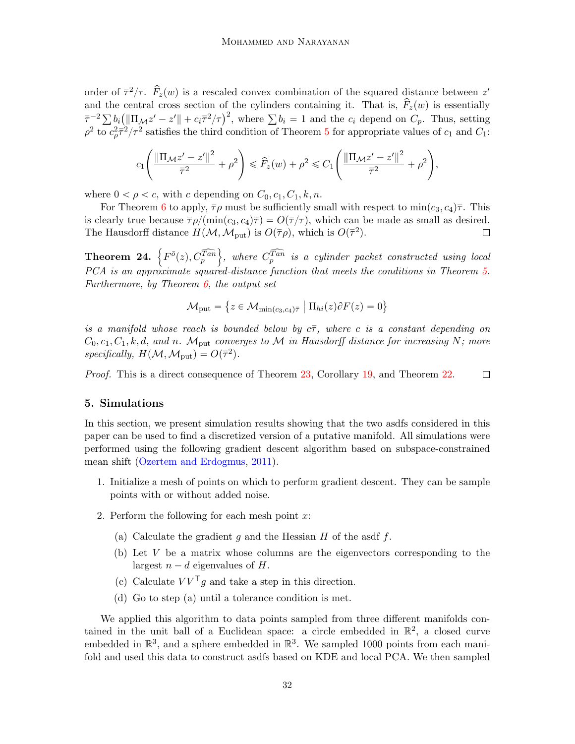order of  $\bar{\tau}^2/\tau$ .  $\hat{F}_z(w)$  is a rescaled convex combination of the squared distance between  $z'$ and the central cross section of the cylinders containing it. That is,  $\hat{F}_z(w)$  is essentially and the central cross section of the cylinders containing it. That is,  $F_z(w)$  is essentially  $\bar{\tau}^{-2} \sum b_i (||\Pi_{\mathcal{M}} z' - z'|| + c_i \bar{\tau}^2 / \tau)^2$ , where  $\sum b_i = 1$  and the  $c_i$  depend on  $C_p$ . Thus, setting  $\rho^2$  to  $c_p^2 \bar{\tau}^2/\tau^2$  satisfies the third condition of Theorem [5](#page-5-0) for appropriate values of  $c_1$  and  $C_1$ :

$$
c_1 \left( \frac{\left\| \Pi_{\mathcal{M}} z' - z' \right\|^2}{\bar{\tau}^2} + \rho^2 \right) \leq \hat{F}_z(w) + \rho^2 \leq C_1 \left( \frac{\left\| \Pi_{\mathcal{M}} z' - z' \right\|^2}{\bar{\tau}^2} + \rho^2 \right),
$$

where  $0 < \rho < c$ , with c depending on  $C_0, c_1, C_1, k, n$ .

For Theorem [6](#page-5-1) to apply,  $\bar{\tau}\rho$  must be sufficiently small with respect to min $(c_3, c_4)\bar{\tau}$ . This is clearly true because  $\overline{\tau}\rho/(\min(c_3, c_4)\overline{\tau}) = O(\overline{\tau}/\tau)$ , which can be made as small as desired. The Hausdorff distance  $H(M,M_{\text{put}})$  is  $O(\bar{\tau}\rho)$ , which is  $O(\bar{\tau}^2)$ .  $\Box$ )

Theorem 24.  $\left\{F^{\bar{o}}(z), C_{p}^{\widehat{Tan}}\right\}$ , where  $\widehat{C_p^{Tan}}$  is a cylinder packet constructed using local PCA is an approximate squared-distance function that meets the conditions in Theorem [5.](#page-5-0) Furthermore, by Theorem  $6$ , the output set

$$
\mathcal{M}_{\text{put}} = \{ z \in \mathcal{M}_{\min(c_3, c_4)\bar{\tau}} \mid \Pi_{hi}(z)\partial F(z) = 0 \}
$$

is a manifold whose reach is bounded below by  $c\bar{\tau}$ , where c is a constant depending on  $C_0, c_1, C_1, k, d, and n.$  M<sub>put</sub> converges to M in Hausdorff distance for increasing N; more  $specifically, H(M, \mathcal{M}_{\text{put}}) = O(\bar{\tau}^2).$ 

Proof. This is a direct consequence of Theorem [23,](#page-30-0) Corollary [19,](#page-27-0) and Theorem [22.](#page-28-0)  $\Box$ 

### <span id="page-31-0"></span>5. Simulations

In this section, we present simulation results showing that the two asdfs considered in this paper can be used to find a discretized version of a putative manifold. All simulations were performed using the following gradient descent algorithm based on subspace-constrained mean shift [\(Ozertem and Erdogmus,](#page-34-2) [2011\)](#page-34-2).

- 1. Initialize a mesh of points on which to perform gradient descent. They can be sample points with or without added noise.
- 2. Perform the following for each mesh point  $x$ :
	- (a) Calculate the gradient q and the Hessian  $H$  of the asdf  $f$ .
	- (b) Let  $V$  be a matrix whose columns are the eigenvectors corresponding to the largest  $n - d$  eigenvalues of H.
	- (c) Calculate  $VV^{\top}q$  and take a step in this direction.
	- (d) Go to step (a) until a tolerance condition is met.

We applied this algorithm to data points sampled from three different manifolds contained in the unit ball of a Euclidean space: a circle embedded in  $\mathbb{R}^2$ , a closed curve embedded in  $\mathbb{R}^3$ , and a sphere embedded in  $\mathbb{R}^3$ . We sampled 1000 points from each manifold and used this data to construct asdfs based on KDE and local PCA. We then sampled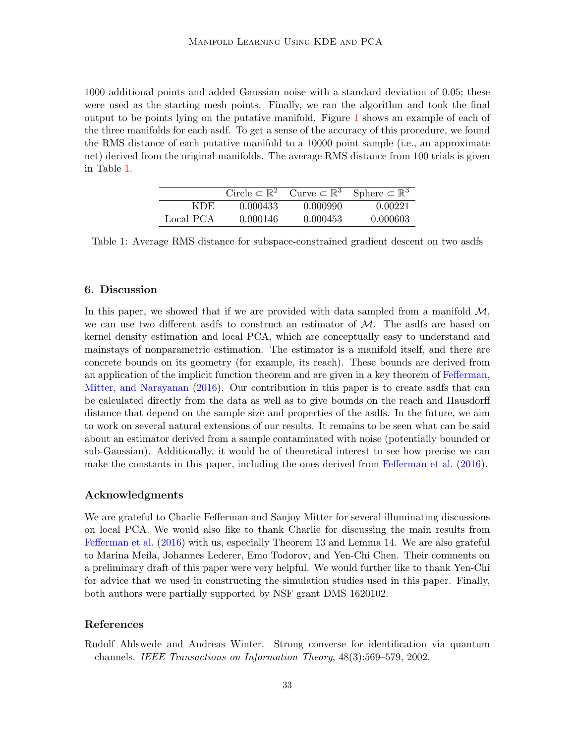1000 additional points and added Gaussian noise with a standard deviation of 0.05; these were used as the starting mesh points. Finally, we ran the algorithm and took the final output to be points lying on the putative manifold. Figure [1](#page-33-0) shows an example of each of the three manifolds for each asdf. To get a sense of the accuracy of this procedure, we found the RMS distance of each putative manifold to a 10000 point sample (i.e., an approximate net) derived from the original manifolds. The average RMS distance from 100 trials is given in Table [1.](#page-32-2)

|           |          |          | Circle $\subset \mathbb{R}^2$ Curve $\overline{\subset \mathbb{R}^3}$ Sphere $\subset \mathbb{R}^3$ |
|-----------|----------|----------|-----------------------------------------------------------------------------------------------------|
| KDE.      | 0.000433 | 0.000990 | 0.00221                                                                                             |
| Local PCA | 0.000146 | 0.000453 | 0.000603                                                                                            |

<span id="page-32-2"></span>Table 1: Average RMS distance for subspace-constrained gradient descent on two asdfs

# <span id="page-32-0"></span>6. Discussion

In this paper, we showed that if we are provided with data sampled from a manifold  $\mathcal{M}$ , we can use two different asdfs to construct an estimator of  $M$ . The asdfs are based on kernel density estimation and local PCA, which are conceptually easy to understand and mainstays of nonparametric estimation. The estimator is a manifold itself, and there are concrete bounds on its geometry (for example, its reach). These bounds are derived from an application of the implicit function theorem and are given in a key theorem of [Fefferman,](#page-34-0) [Mitter, and Narayanan](#page-34-0) [\(2016\)](#page-34-0). Our contribution in this paper is to create asdfs that can be calculated directly from the data as well as to give bounds on the reach and Hausdorff distance that depend on the sample size and properties of the asdfs. In the future, we aim to work on several natural extensions of our results. It remains to be seen what can be said about an estimator derived from a sample contaminated with noise (potentially bounded or sub-Gaussian). Additionally, it would be of theoretical interest to see how precise we can make the constants in this paper, including the ones derived from [Fefferman et al.](#page-34-0) [\(2016\)](#page-34-0).

#### Acknowledgments

We are grateful to Charlie Fefferman and Sanjoy Mitter for several illuminating discussions on local PCA. We would also like to thank Charlie for discussing the main results from [Fefferman et al.](#page-34-0) [\(2016\)](#page-34-0) with us, especially Theorem 13 and Lemma 14. We are also grateful to Marina Meila, Johannes Lederer, Emo Todorov, and Yen-Chi Chen. Their comments on a preliminary draft of this paper were very helpful. We would further like to thank Yen-Chi for advice that we used in constructing the simulation studies used in this paper. Finally, both authors were partially supported by NSF grant DMS 1620102.

# References

<span id="page-32-1"></span>Rudolf Ahlswede and Andreas Winter. Strong converse for identification via quantum channels. IEEE Transactions on Information Theory, 48(3):569–579, 2002.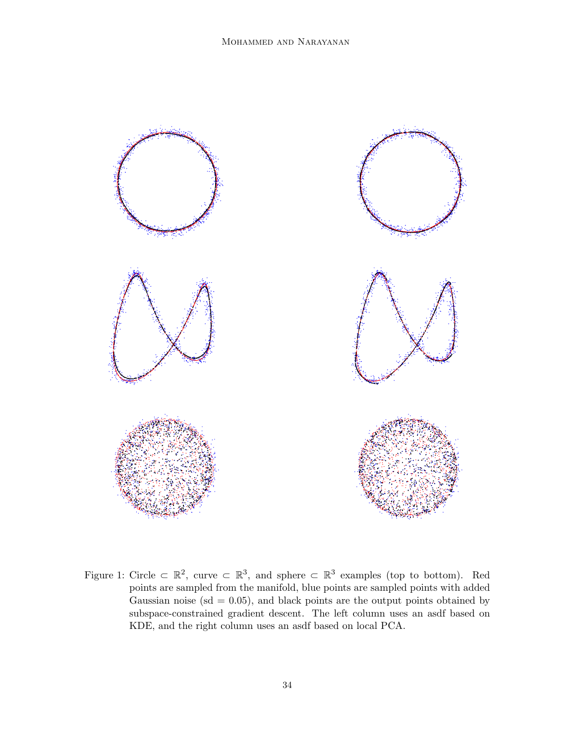<span id="page-33-0"></span>

Figure 1: Circle  $\subset \mathbb{R}^2$ , curve  $\subset \mathbb{R}^3$ , and sphere  $\subset \mathbb{R}^3$  examples (top to bottom). Red points are sampled from the manifold, blue points are sampled points with added Gaussian noise ( $sd = 0.05$ ), and black points are the output points obtained by subspace-constrained gradient descent. The left column uses an asdf based on KDE, and the right column uses an asdf based on local PCA.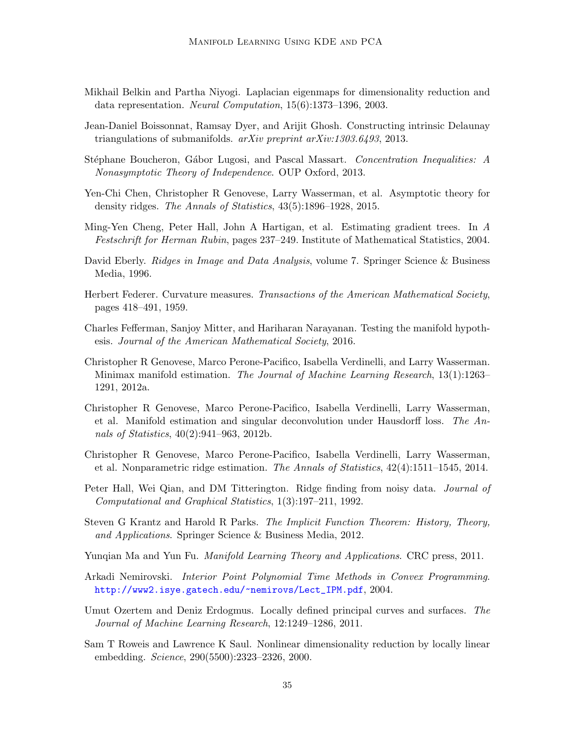- <span id="page-34-4"></span>Mikhail Belkin and Partha Niyogi. Laplacian eigenmaps for dimensionality reduction and data representation. Neural Computation, 15(6):1373–1396, 2003.
- <span id="page-34-16"></span>Jean-Daniel Boissonnat, Ramsay Dyer, and Arijit Ghosh. Constructing intrinsic Delaunay triangulations of submanifolds. arXiv preprint arXiv:1303.6493, 2013.
- <span id="page-34-14"></span>Stéphane Boucheron, Gábor Lugosi, and Pascal Massart. Concentration Inequalities: A Nonasymptotic Theory of Independence. OUP Oxford, 2013.
- <span id="page-34-11"></span>Yen-Chi Chen, Christopher R Genovese, Larry Wasserman, et al. Asymptotic theory for density ridges. The Annals of Statistics, 43(5):1896–1928, 2015.
- <span id="page-34-7"></span>Ming-Yen Cheng, Peter Hall, John A Hartigan, et al. Estimating gradient trees. In A Festschrift for Herman Rubin, pages 237–249. Institute of Mathematical Statistics, 2004.
- <span id="page-34-5"></span>David Eberly. Ridges in Image and Data Analysis, volume 7. Springer Science & Business Media, 1996.
- <span id="page-34-12"></span>Herbert Federer. Curvature measures. Transactions of the American Mathematical Society, pages 418–491, 1959.
- <span id="page-34-0"></span>Charles Fefferman, Sanjoy Mitter, and Hariharan Narayanan. Testing the manifold hypothesis. Journal of the American Mathematical Society, 2016.
- <span id="page-34-9"></span>Christopher R Genovese, Marco Perone-Pacifico, Isabella Verdinelli, and Larry Wasserman. Minimax manifold estimation. The Journal of Machine Learning Research, 13(1):1263– 1291, 2012a.
- <span id="page-34-8"></span>Christopher R Genovese, Marco Perone-Pacifico, Isabella Verdinelli, Larry Wasserman, et al. Manifold estimation and singular deconvolution under Hausdorff loss. The Annals of Statistics, 40(2):941–963, 2012b.
- <span id="page-34-10"></span>Christopher R Genovese, Marco Perone-Pacifico, Isabella Verdinelli, Larry Wasserman, et al. Nonparametric ridge estimation. The Annals of Statistics, 42(4):1511–1545, 2014.
- <span id="page-34-6"></span>Peter Hall, Wei Qian, and DM Titterington. Ridge finding from noisy data. *Journal of* Computational and Graphical Statistics, 1(3):197–211, 1992.
- <span id="page-34-13"></span>Steven G Krantz and Harold R Parks. The Implicit Function Theorem: History, Theory, and Applications. Springer Science & Business Media, 2012.
- <span id="page-34-1"></span>Yunqian Ma and Yun Fu. Manifold Learning Theory and Applications. CRC press, 2011.
- <span id="page-34-15"></span>Arkadi Nemirovski. Interior Point Polynomial Time Methods in Convex Programming. [http://www2.isye.gatech.edu/~nemirovs/Lect\\_IPM.pdf](http://www2.isye.gatech.edu/~nemirovs/Lect_IPM.pdf), 2004.
- <span id="page-34-2"></span>Umut Ozertem and Deniz Erdogmus. Locally defined principal curves and surfaces. The Journal of Machine Learning Research, 12:1249–1286, 2011.
- <span id="page-34-3"></span>Sam T Roweis and Lawrence K Saul. Nonlinear dimensionality reduction by locally linear embedding. Science, 290(5500):2323–2326, 2000.